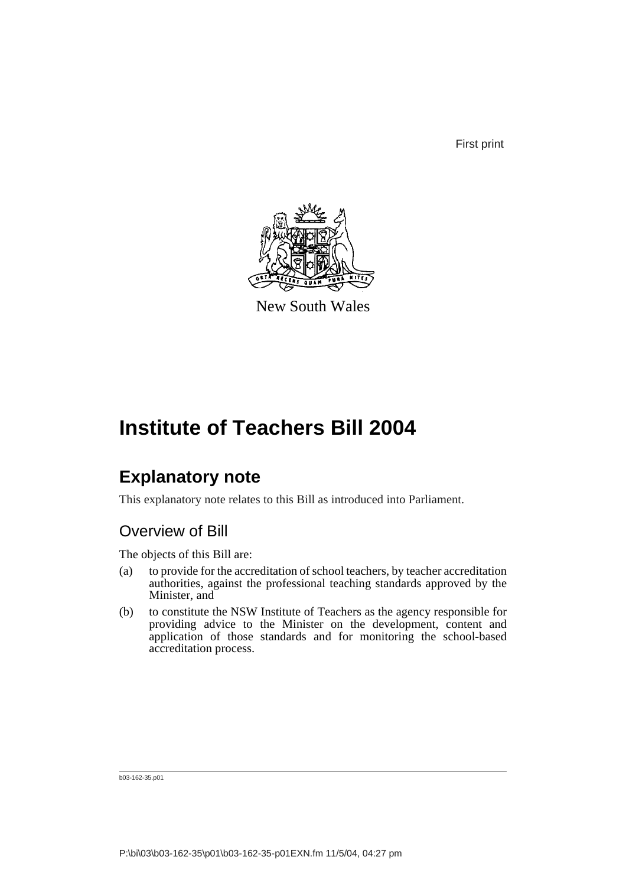First print



New South Wales

# **Institute of Teachers Bill 2004**

## **Explanatory note**

This explanatory note relates to this Bill as introduced into Parliament.

## Overview of Bill

The objects of this Bill are:

- (a) to provide for the accreditation of school teachers, by teacher accreditation authorities, against the professional teaching standards approved by the Minister, and
- (b) to constitute the NSW Institute of Teachers as the agency responsible for providing advice to the Minister on the development, content and application of those standards and for monitoring the school-based accreditation process.

b03-162-35.p01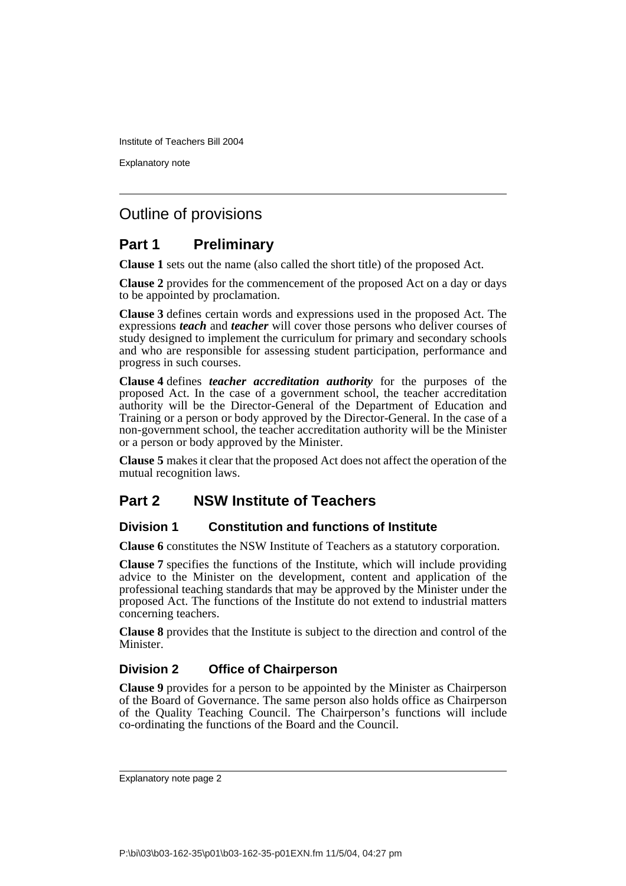Explanatory note

## Outline of provisions

## **Part 1 Preliminary**

**Clause 1** sets out the name (also called the short title) of the proposed Act.

**Clause 2** provides for the commencement of the proposed Act on a day or days to be appointed by proclamation.

**Clause 3** defines certain words and expressions used in the proposed Act. The expressions *teach* and *teacher* will cover those persons who deliver courses of study designed to implement the curriculum for primary and secondary schools and who are responsible for assessing student participation, performance and progress in such courses.

**Clause 4** defines *teacher accreditation authority* for the purposes of the proposed Act. In the case of a government school, the teacher accreditation authority will be the Director-General of the Department of Education and Training or a person or body approved by the Director-General. In the case of a non-government school, the teacher accreditation authority will be the Minister or a person or body approved by the Minister.

**Clause 5** makes it clear that the proposed Act does not affect the operation of the mutual recognition laws.

## **Part 2 NSW Institute of Teachers**

## **Division 1 Constitution and functions of Institute**

**Clause 6** constitutes the NSW Institute of Teachers as a statutory corporation.

**Clause 7** specifies the functions of the Institute, which will include providing advice to the Minister on the development, content and application of the professional teaching standards that may be approved by the Minister under the proposed Act. The functions of the Institute do not extend to industrial matters concerning teachers.

**Clause 8** provides that the Institute is subject to the direction and control of the Minister.

## **Division 2 Office of Chairperson**

**Clause 9** provides for a person to be appointed by the Minister as Chairperson of the Board of Governance. The same person also holds office as Chairperson of the Quality Teaching Council. The Chairperson's functions will include co-ordinating the functions of the Board and the Council.

Explanatory note page 2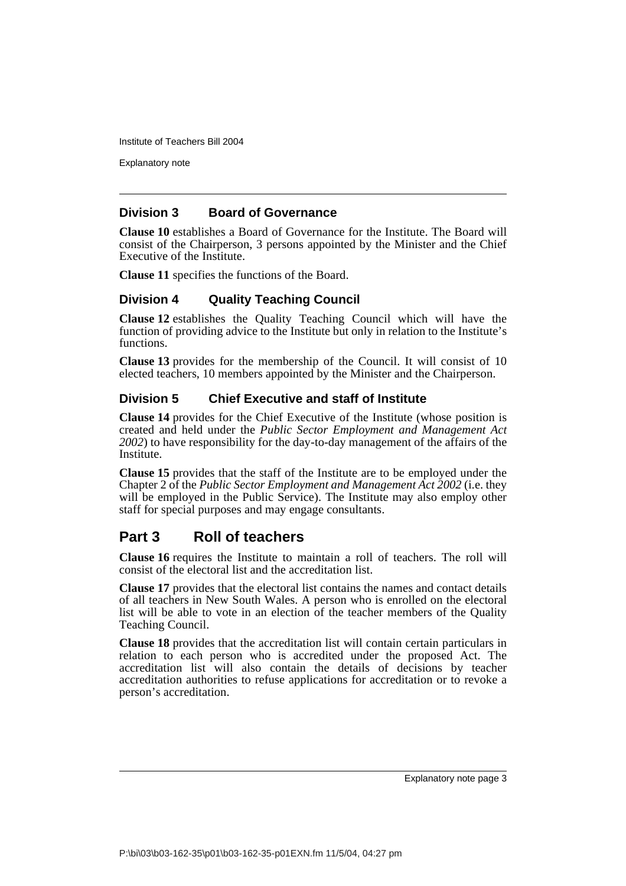Explanatory note

#### **Division 3 Board of Governance**

**Clause 10** establishes a Board of Governance for the Institute. The Board will consist of the Chairperson, 3 persons appointed by the Minister and the Chief Executive of the Institute.

**Clause 11** specifies the functions of the Board.

### **Division 4 Quality Teaching Council**

**Clause 12** establishes the Quality Teaching Council which will have the function of providing advice to the Institute but only in relation to the Institute's functions.

**Clause 13** provides for the membership of the Council. It will consist of 10 elected teachers, 10 members appointed by the Minister and the Chairperson.

### **Division 5 Chief Executive and staff of Institute**

**Clause 14** provides for the Chief Executive of the Institute (whose position is created and held under the *Public Sector Employment and Management Act 2002*) to have responsibility for the day-to-day management of the affairs of the Institute.

**Clause 15** provides that the staff of the Institute are to be employed under the Chapter 2 of the *Public Sector Employment and Management Act 2002* (i.e. they will be employed in the Public Service). The Institute may also employ other staff for special purposes and may engage consultants.

## **Part 3 Roll of teachers**

**Clause 16** requires the Institute to maintain a roll of teachers. The roll will consist of the electoral list and the accreditation list.

**Clause 17** provides that the electoral list contains the names and contact details of all teachers in New South Wales. A person who is enrolled on the electoral list will be able to vote in an election of the teacher members of the Quality Teaching Council.

**Clause 18** provides that the accreditation list will contain certain particulars in relation to each person who is accredited under the proposed Act. The accreditation list will also contain the details of decisions by teacher accreditation authorities to refuse applications for accreditation or to revoke a person's accreditation.

Explanatory note page 3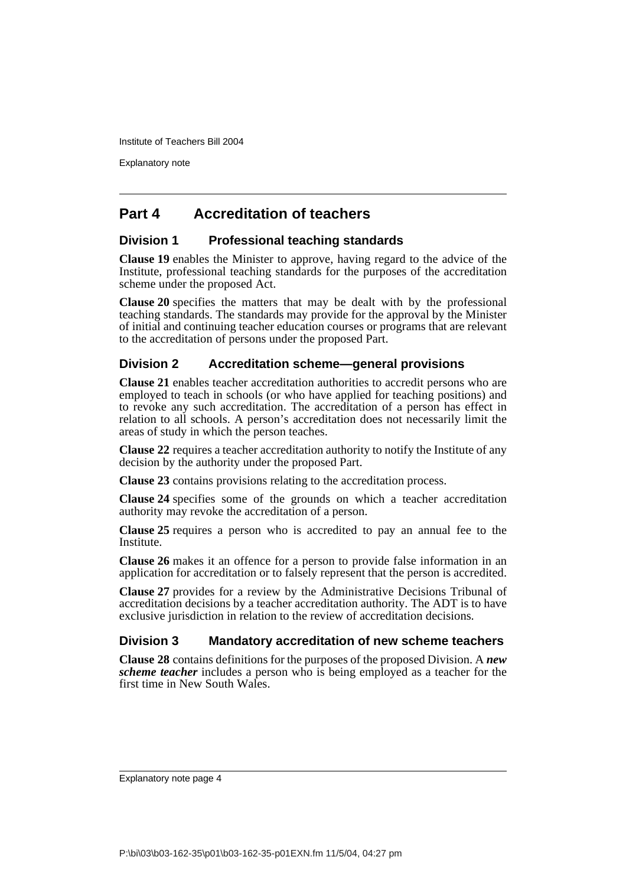Explanatory note

## **Part 4 Accreditation of teachers**

#### **Division 1 Professional teaching standards**

**Clause 19** enables the Minister to approve, having regard to the advice of the Institute, professional teaching standards for the purposes of the accreditation scheme under the proposed Act.

**Clause 20** specifies the matters that may be dealt with by the professional teaching standards. The standards may provide for the approval by the Minister of initial and continuing teacher education courses or programs that are relevant to the accreditation of persons under the proposed Part.

#### **Division 2 Accreditation scheme—general provisions**

**Clause 21** enables teacher accreditation authorities to accredit persons who are employed to teach in schools (or who have applied for teaching positions) and to revoke any such accreditation. The accreditation of a person has effect in relation to all schools. A person's accreditation does not necessarily limit the areas of study in which the person teaches.

**Clause 22** requires a teacher accreditation authority to notify the Institute of any decision by the authority under the proposed Part.

**Clause 23** contains provisions relating to the accreditation process.

**Clause 24** specifies some of the grounds on which a teacher accreditation authority may revoke the accreditation of a person.

**Clause 25** requires a person who is accredited to pay an annual fee to the Institute.

**Clause 26** makes it an offence for a person to provide false information in an application for accreditation or to falsely represent that the person is accredited.

**Clause 27** provides for a review by the Administrative Decisions Tribunal of accreditation decisions by a teacher accreditation authority. The ADT is to have exclusive jurisdiction in relation to the review of accreditation decisions.

#### **Division 3 Mandatory accreditation of new scheme teachers**

**Clause 28** contains definitions for the purposes of the proposed Division. A *new scheme teacher* includes a person who is being employed as a teacher for the first time in New South Wales.

Explanatory note page 4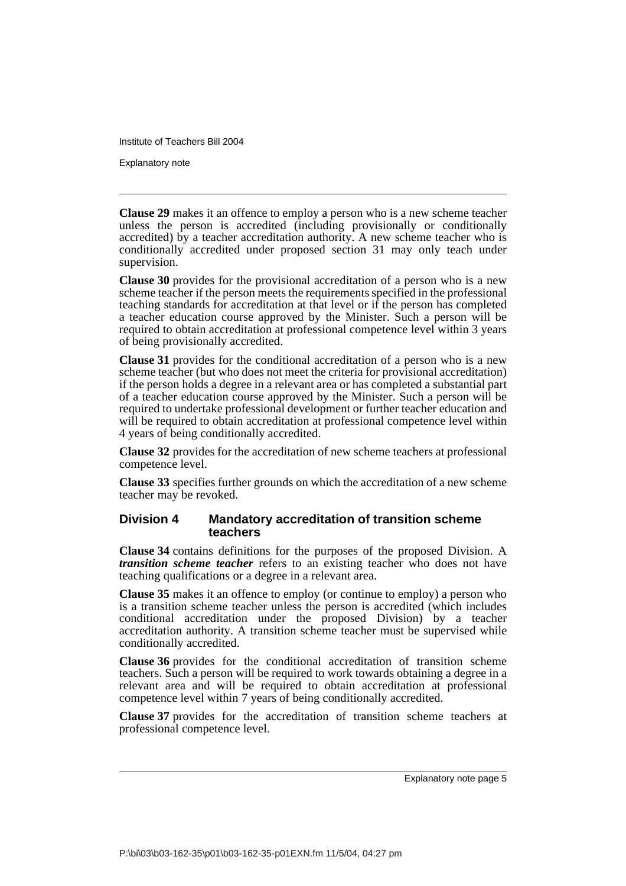Explanatory note

**Clause 29** makes it an offence to employ a person who is a new scheme teacher unless the person is accredited (including provisionally or conditionally accredited) by a teacher accreditation authority. A new scheme teacher who is conditionally accredited under proposed section 31 may only teach under supervision.

**Clause 30** provides for the provisional accreditation of a person who is a new scheme teacher if the person meets the requirements specified in the professional teaching standards for accreditation at that level or if the person has completed a teacher education course approved by the Minister. Such a person will be required to obtain accreditation at professional competence level within 3 years of being provisionally accredited.

**Clause 31** provides for the conditional accreditation of a person who is a new scheme teacher (but who does not meet the criteria for provisional accreditation) if the person holds a degree in a relevant area or has completed a substantial part of a teacher education course approved by the Minister. Such a person will be required to undertake professional development or further teacher education and will be required to obtain accreditation at professional competence level within 4 years of being conditionally accredited.

**Clause 32** provides for the accreditation of new scheme teachers at professional competence level.

**Clause 33** specifies further grounds on which the accreditation of a new scheme teacher may be revoked.

#### **Division 4 Mandatory accreditation of transition scheme teachers**

**Clause 34** contains definitions for the purposes of the proposed Division. A *transition scheme teacher* refers to an existing teacher who does not have teaching qualifications or a degree in a relevant area.

**Clause 35** makes it an offence to employ (or continue to employ) a person who is a transition scheme teacher unless the person is accredited (which includes conditional accreditation under the proposed Division) by a teacher accreditation authority. A transition scheme teacher must be supervised while conditionally accredited.

**Clause 36** provides for the conditional accreditation of transition scheme teachers. Such a person will be required to work towards obtaining a degree in a relevant area and will be required to obtain accreditation at professional competence level within 7 years of being conditionally accredited.

**Clause 37** provides for the accreditation of transition scheme teachers at professional competence level.

Explanatory note page 5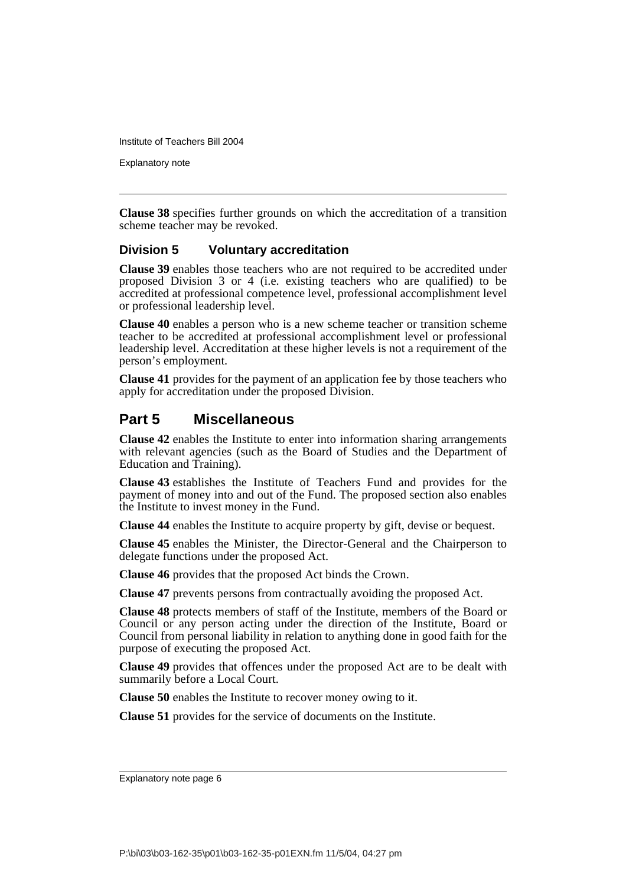Explanatory note

**Clause 38** specifies further grounds on which the accreditation of a transition scheme teacher may be revoked.

#### **Division 5 Voluntary accreditation**

**Clause 39** enables those teachers who are not required to be accredited under proposed Division 3 or 4 (i.e. existing teachers who are qualified) to be accredited at professional competence level, professional accomplishment level or professional leadership level.

**Clause 40** enables a person who is a new scheme teacher or transition scheme teacher to be accredited at professional accomplishment level or professional leadership level. Accreditation at these higher levels is not a requirement of the person's employment.

**Clause 41** provides for the payment of an application fee by those teachers who apply for accreditation under the proposed Division.

## **Part 5 Miscellaneous**

**Clause 42** enables the Institute to enter into information sharing arrangements with relevant agencies (such as the Board of Studies and the Department of Education and Training).

**Clause 43** establishes the Institute of Teachers Fund and provides for the payment of money into and out of the Fund. The proposed section also enables the Institute to invest money in the Fund.

**Clause 44** enables the Institute to acquire property by gift, devise or bequest.

**Clause 45** enables the Minister, the Director-General and the Chairperson to delegate functions under the proposed Act.

**Clause 46** provides that the proposed Act binds the Crown.

**Clause 47** prevents persons from contractually avoiding the proposed Act.

**Clause 48** protects members of staff of the Institute, members of the Board or Council or any person acting under the direction of the Institute, Board or Council from personal liability in relation to anything done in good faith for the purpose of executing the proposed Act.

**Clause 49** provides that offences under the proposed Act are to be dealt with summarily before a Local Court.

**Clause 50** enables the Institute to recover money owing to it.

**Clause 51** provides for the service of documents on the Institute.

Explanatory note page 6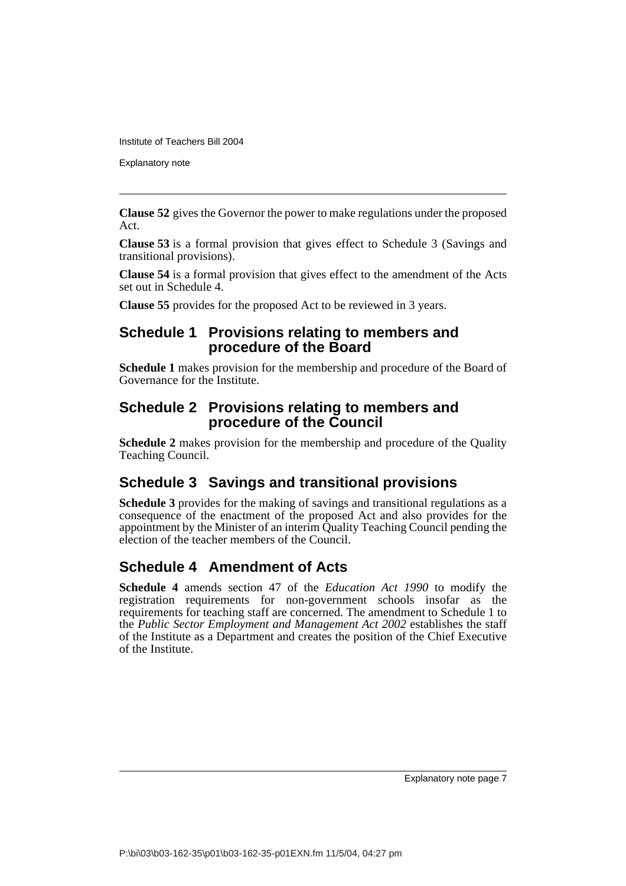Explanatory note

**Clause 52** gives the Governor the power to make regulations under the proposed Act.

**Clause 53** is a formal provision that gives effect to Schedule 3 (Savings and transitional provisions).

**Clause 54** is a formal provision that gives effect to the amendment of the Acts set out in Schedule 4.

**Clause 55** provides for the proposed Act to be reviewed in 3 years.

## **Schedule 1 Provisions relating to members and procedure of the Board**

**Schedule 1** makes provision for the membership and procedure of the Board of Governance for the Institute.

## **Schedule 2 Provisions relating to members and procedure of the Council**

**Schedule 2** makes provision for the membership and procedure of the Quality Teaching Council.

## **Schedule 3 Savings and transitional provisions**

**Schedule 3** provides for the making of savings and transitional regulations as a consequence of the enactment of the proposed Act and also provides for the appointment by the Minister of an interim Quality Teaching Council pending the election of the teacher members of the Council.

## **Schedule 4 Amendment of Acts**

**Schedule 4** amends section 47 of the *Education Act 1990* to modify the registration requirements for non-government schools insofar as the requirements for teaching staff are concerned. The amendment to Schedule 1 to the *Public Sector Employment and Management Act 2002* establishes the staff of the Institute as a Department and creates the position of the Chief Executive of the Institute.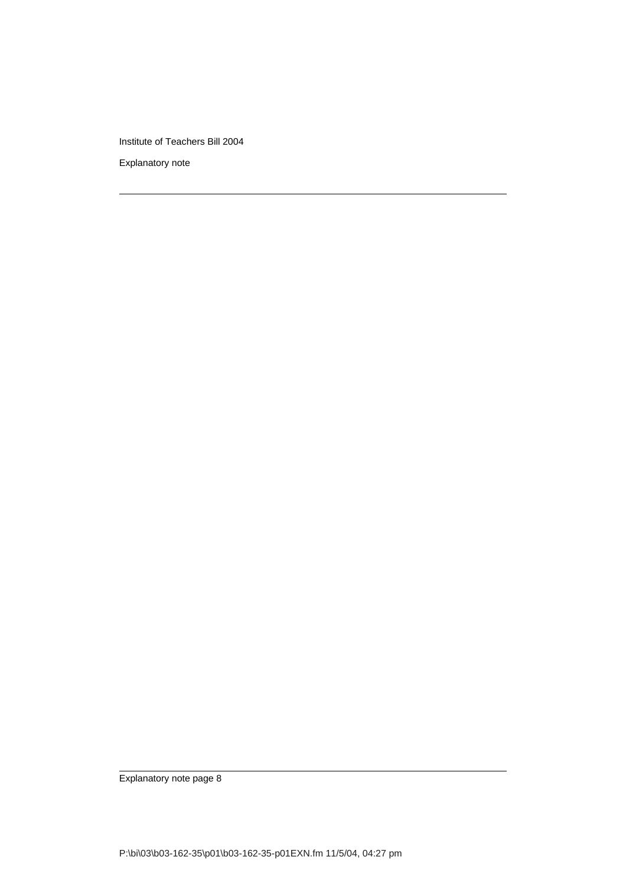Explanatory note

Explanatory note page 8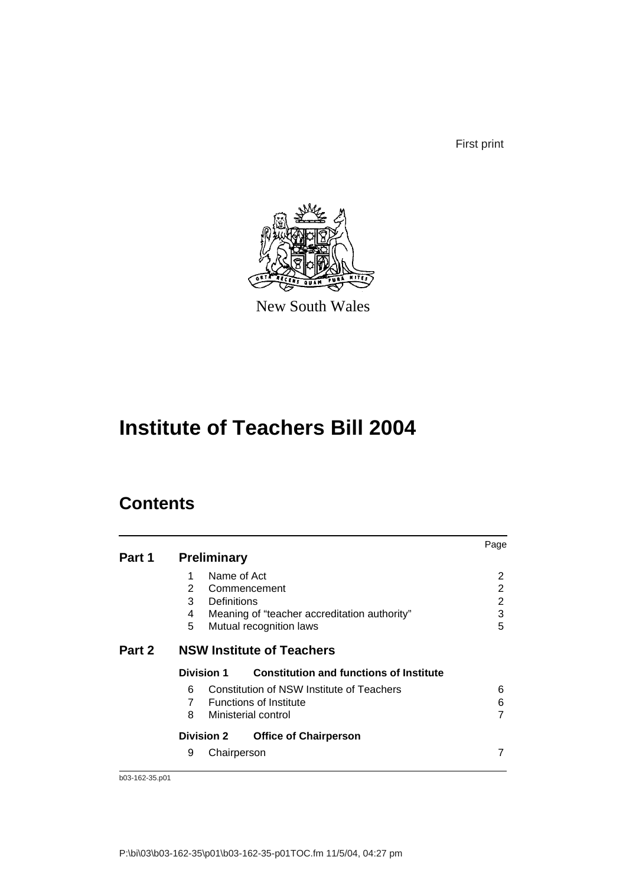First print



New South Wales

# **Institute of Teachers Bill 2004**

## **Contents**

|        |                                                              | Page           |
|--------|--------------------------------------------------------------|----------------|
| Part 1 | <b>Preliminary</b>                                           |                |
|        | Name of Act<br>1                                             | 2              |
|        | $\overline{2}$<br>Commencement                               | 2              |
|        | 3<br>Definitions                                             | $\overline{2}$ |
|        | Meaning of "teacher accreditation authority"<br>4            | 3              |
|        | 5<br>Mutual recognition laws                                 | 5              |
| Part 2 | <b>NSW Institute of Teachers</b>                             |                |
|        | <b>Constitution and functions of Institute</b><br>Division 1 |                |
|        | Constitution of NSW Institute of Teachers<br>6               | 6              |
|        | 7<br><b>Functions of Institute</b>                           | 6              |
|        | 8<br>Ministerial control                                     | 7              |
|        | <b>Division 2</b><br><b>Office of Chairperson</b>            |                |
|        | 9<br>Chairperson                                             | 7              |
|        |                                                              |                |

b03-162-35.p01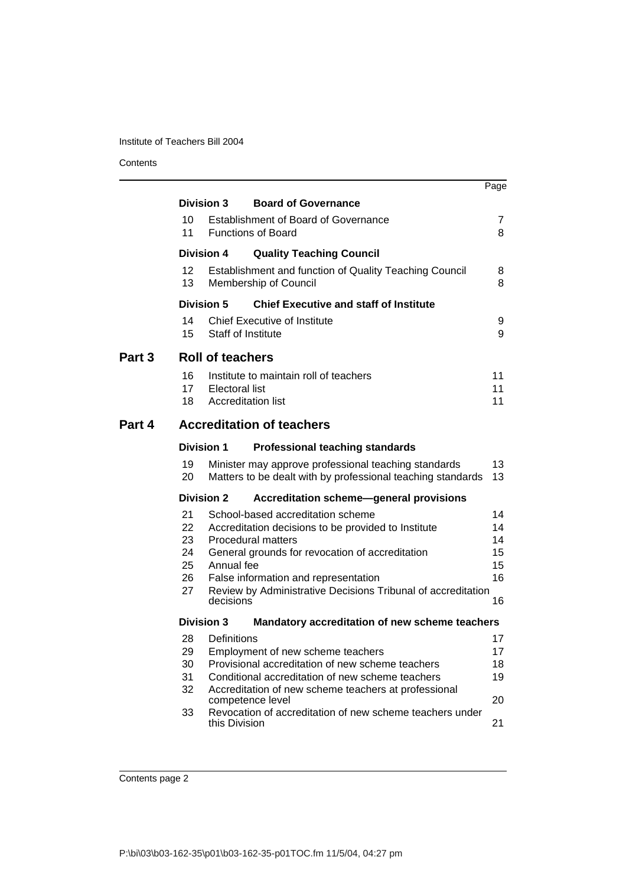**Contents** 

| 7<br>8                                                                                                 |
|--------------------------------------------------------------------------------------------------------|
|                                                                                                        |
|                                                                                                        |
|                                                                                                        |
| 8<br>8                                                                                                 |
|                                                                                                        |
| 9<br>9                                                                                                 |
|                                                                                                        |
| 11<br>11<br>11                                                                                         |
|                                                                                                        |
|                                                                                                        |
| 13<br>13                                                                                               |
|                                                                                                        |
| 14<br>14<br>14<br>15<br>15<br>16<br>Review by Administrative Decisions Tribunal of accreditation<br>16 |
| Mandatory accreditation of new scheme teachers                                                         |
| 17<br>17<br>18<br>19<br>20<br>21                                                                       |
| Matters to be dealt with by professional teaching standards                                            |

Contents page 2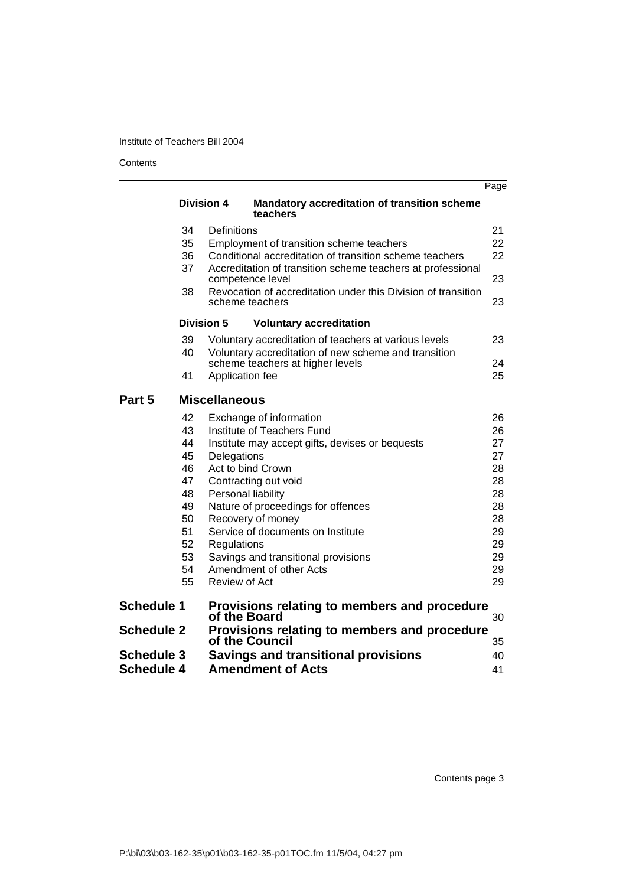**Contents** 

|                   |                   |                                                                                  | Page |
|-------------------|-------------------|----------------------------------------------------------------------------------|------|
|                   | Division 4        | <b>Mandatory accreditation of transition scheme</b><br>teachers                  |      |
|                   | 34                | Definitions                                                                      | 21   |
|                   | 35                | Employment of transition scheme teachers                                         | 22   |
|                   | 36                | Conditional accreditation of transition scheme teachers                          | 22   |
|                   | 37                | Accreditation of transition scheme teachers at professional<br>competence level  | 23   |
|                   | 38                | Revocation of accreditation under this Division of transition<br>scheme teachers | 23   |
|                   | <b>Division 5</b> | <b>Voluntary accreditation</b>                                                   |      |
|                   | 39                | Voluntary accreditation of teachers at various levels                            | 23   |
|                   | 40                | Voluntary accreditation of new scheme and transition                             |      |
|                   |                   | scheme teachers at higher levels                                                 | 24   |
|                   | 41                | Application fee                                                                  | 25   |
| Part 5            |                   | <b>Miscellaneous</b>                                                             |      |
|                   | 42                | Exchange of information                                                          | 26   |
|                   | 43                | Institute of Teachers Fund                                                       | 26   |
|                   | 44                | Institute may accept gifts, devises or bequests                                  | 27   |
|                   | 45                | Delegations                                                                      | 27   |
|                   | 46                | Act to bind Crown                                                                | 28   |
|                   | 47                | Contracting out void                                                             | 28   |
|                   | 48                | Personal liability                                                               | 28   |
|                   | 49                | Nature of proceedings for offences                                               | 28   |
|                   | 50                | Recovery of money                                                                | 28   |
|                   | 51                | Service of documents on Institute                                                | 29   |
|                   | 52                | Regulations                                                                      | 29   |
|                   | 53                | Savings and transitional provisions                                              | 29   |
|                   | 54                | Amendment of other Acts                                                          | 29   |
|                   | 55                | Review of Act                                                                    | 29   |
| <b>Schedule 1</b> |                   | Provisions relating to members and procedure<br>of the Board                     | 30   |
| <b>Schedule 2</b> |                   | Provisions relating to members and procedure<br>of the Council                   | 35   |
| <b>Schedule 3</b> |                   | <b>Savings and transitional provisions</b>                                       | 40   |
| <b>Schedule 4</b> |                   | <b>Amendment of Acts</b>                                                         | 41   |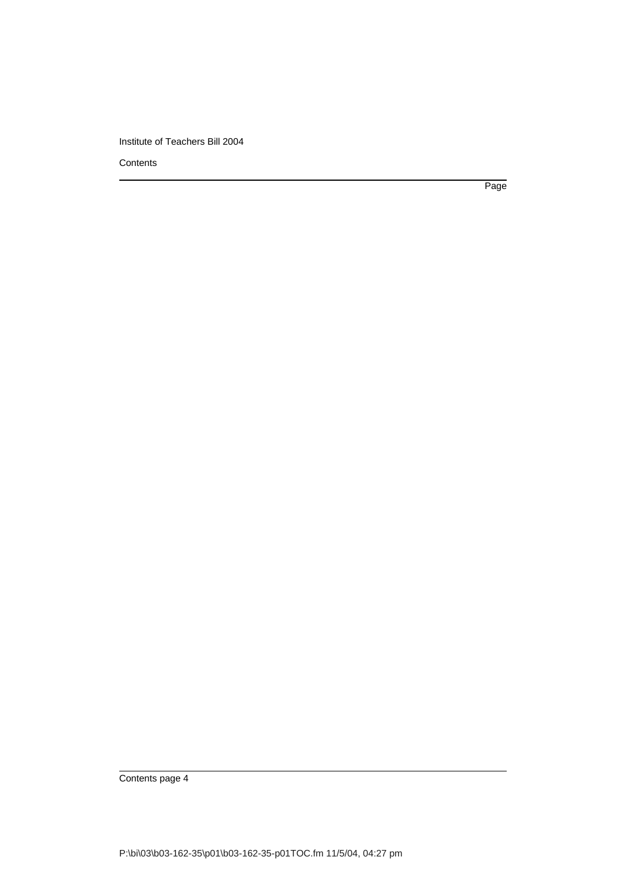**Contents** 

Page

Contents page 4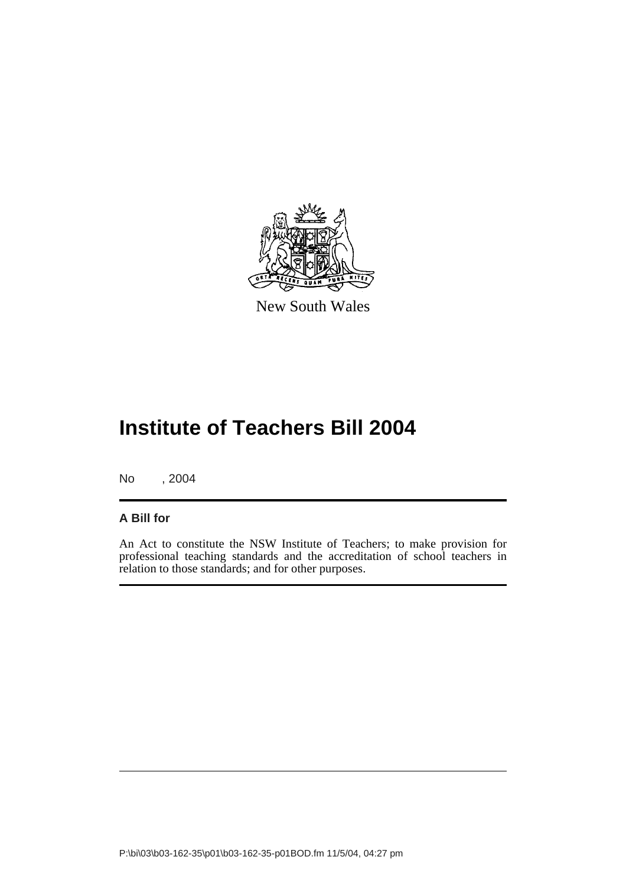

New South Wales

# **Institute of Teachers Bill 2004**

No , 2004

## **A Bill for**

An Act to constitute the NSW Institute of Teachers; to make provision for professional teaching standards and the accreditation of school teachers in relation to those standards; and for other purposes.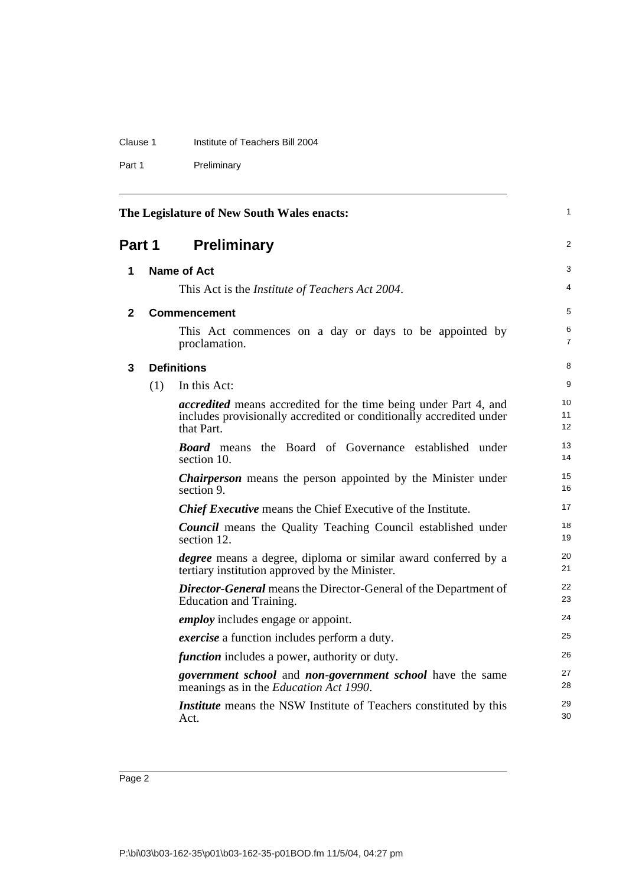#### Clause 1 Institute of Teachers Bill 2004

Part 1 Preliminary

<span id="page-13-3"></span><span id="page-13-2"></span><span id="page-13-1"></span><span id="page-13-0"></span>

|              |     | The Legislature of New South Wales enacts:                                                                                                                   | 1                   |
|--------------|-----|--------------------------------------------------------------------------------------------------------------------------------------------------------------|---------------------|
| Part 1       |     | <b>Preliminary</b>                                                                                                                                           | $\overline{2}$      |
| 1            |     | <b>Name of Act</b>                                                                                                                                           | 3                   |
|              |     | This Act is the <i>Institute of Teachers Act 2004</i> .                                                                                                      | 4                   |
| $\mathbf{2}$ |     | <b>Commencement</b>                                                                                                                                          | 5                   |
|              |     | This Act commences on a day or days to be appointed by<br>proclamation.                                                                                      | 6<br>$\overline{7}$ |
| 3            |     | <b>Definitions</b>                                                                                                                                           | 8                   |
|              | (1) | In this Act:                                                                                                                                                 | 9                   |
|              |     | <i>accredited</i> means accredited for the time being under Part 4, and<br>includes provisionally accredited or conditionally accredited under<br>that Part. | 10<br>11<br>12      |
|              |     | <b>Board</b> means the Board of Governance established under<br>section 10.                                                                                  | 13<br>14            |
|              |     | <i>Chairperson</i> means the person appointed by the Minister under<br>section 9.                                                                            | 15<br>16            |
|              |     | <b>Chief Executive</b> means the Chief Executive of the Institute.                                                                                           | 17                  |
|              |     | <b>Council</b> means the Quality Teaching Council established under<br>section 12.                                                                           | 18<br>19            |
|              |     | <i>degree</i> means a degree, diploma or similar award conferred by a<br>tertiary institution approved by the Minister.                                      | 20<br>21            |
|              |     | Director-General means the Director-General of the Department of<br>Education and Training.                                                                  | 22<br>23            |
|              |     | <i>employ</i> includes engage or appoint.                                                                                                                    | 24                  |
|              |     | <i>exercise</i> a function includes perform a duty.                                                                                                          | 25                  |
|              |     | <i>function</i> includes a power, authority or duty.                                                                                                         | 26                  |
|              |     | <i>government school</i> and <i>non-government school</i> have the same<br>meanings as in the <i>Education Act 1990</i> .                                    | 27<br>28            |
|              |     | <i>Institute</i> means the NSW Institute of Teachers constituted by this<br>Act.                                                                             | 29<br>30            |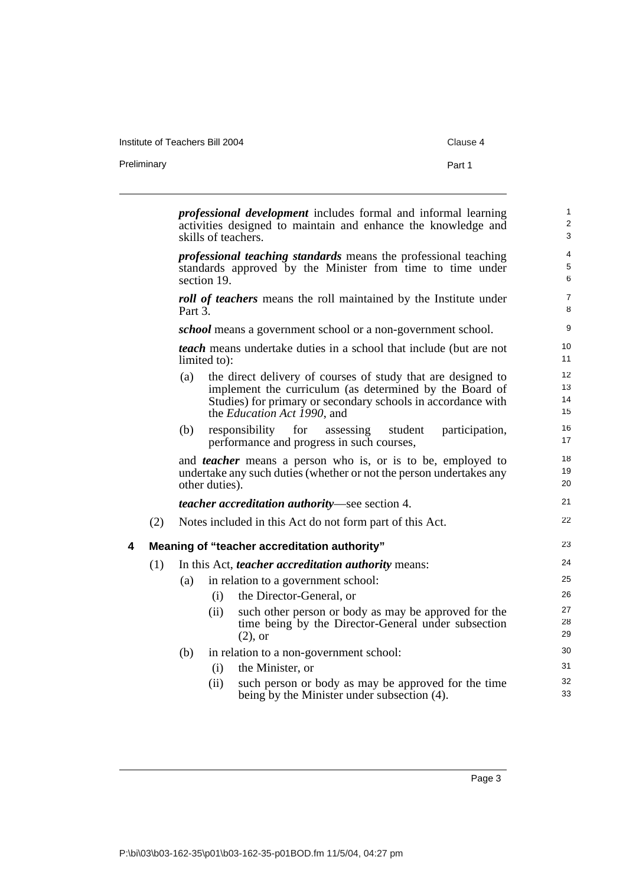Institute of Teachers Bill 2004 Clause 4

Preliminary **Part 1** 

|   |     | professional development includes formal and informal learning<br>activities designed to maintain and enhance the knowledge and<br>skills of teachers.                                                                        | $\mathbf{1}$<br>$\boldsymbol{2}$<br>3 |
|---|-----|-------------------------------------------------------------------------------------------------------------------------------------------------------------------------------------------------------------------------------|---------------------------------------|
|   |     | <i>professional teaching standards</i> means the professional teaching<br>standards approved by the Minister from time to time under<br>section 19.                                                                           | $\overline{4}$<br>5<br>6              |
|   |     | <b>roll of teachers</b> means the roll maintained by the Institute under<br>Part 3.                                                                                                                                           | $\overline{7}$<br>8                   |
|   |     | <i>school</i> means a government school or a non-government school.                                                                                                                                                           | 9                                     |
|   |     | <b>teach</b> means undertake duties in a school that include (but are not<br>limited to:                                                                                                                                      | 10<br>11                              |
|   |     | the direct delivery of courses of study that are designed to<br>(a)<br>implement the curriculum (as determined by the Board of<br>Studies) for primary or secondary schools in accordance with<br>the Education Act 1990, and | 12<br>13<br>14<br>15                  |
|   |     | responsibility for assessing student<br>(b)<br>participation,<br>performance and progress in such courses,                                                                                                                    | 16<br>17                              |
|   |     | and <b><i>teacher</i></b> means a person who is, or is to be, employed to<br>undertake any such duties (whether or not the person undertakes any<br>other duties).                                                            | 18<br>19<br>20                        |
|   |     | <i>teacher accreditation authority</i> —see section 4.                                                                                                                                                                        | 21                                    |
|   | (2) | Notes included in this Act do not form part of this Act.                                                                                                                                                                      | 22                                    |
| 4 |     | Meaning of "teacher accreditation authority"                                                                                                                                                                                  | 23                                    |
|   | (1) | In this Act, <i>teacher accreditation authority</i> means:                                                                                                                                                                    | 24                                    |
|   |     | in relation to a government school:<br>(a)                                                                                                                                                                                    | 25                                    |
|   |     |                                                                                                                                                                                                                               |                                       |

- <span id="page-14-0"></span> $(a)$  in re (i) the Director-General, or (ii) such other person or body as may be approved for the time being by the Director-General under subsection (2), or (b) in relation to a non-government school: (i) the Minister, or 26 27 28 29 30 31 32
	- (ii) such person or body as may be approved for the time being by the Minister under subsection (4).

Page 3

33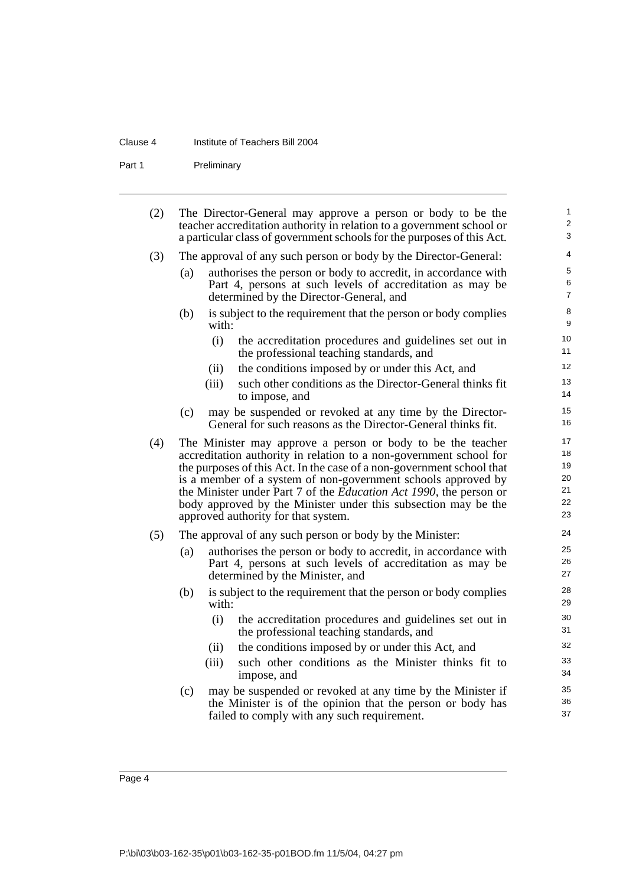#### Clause 4 Institute of Teachers Bill 2004

Part 1 Preliminary

| (2) |     | The Director-General may approve a person or body to be the<br>teacher accreditation authority in relation to a government school or<br>a particular class of government schools for the purposes of this Act.                                                                                                                                                                                                                                                     | 1<br>$\overline{2}$<br>3               |
|-----|-----|--------------------------------------------------------------------------------------------------------------------------------------------------------------------------------------------------------------------------------------------------------------------------------------------------------------------------------------------------------------------------------------------------------------------------------------------------------------------|----------------------------------------|
| (3) |     | The approval of any such person or body by the Director-General:                                                                                                                                                                                                                                                                                                                                                                                                   | 4                                      |
|     | (a) | authorises the person or body to accredit, in accordance with<br>Part 4, persons at such levels of accreditation as may be<br>determined by the Director-General, and                                                                                                                                                                                                                                                                                              | 5<br>6<br>$\overline{7}$               |
|     | (b) | is subject to the requirement that the person or body complies<br>with:                                                                                                                                                                                                                                                                                                                                                                                            | 8<br>9                                 |
|     |     | (i)<br>the accreditation procedures and guidelines set out in<br>the professional teaching standards, and                                                                                                                                                                                                                                                                                                                                                          | 10<br>11                               |
|     |     | the conditions imposed by or under this Act, and<br>(ii)                                                                                                                                                                                                                                                                                                                                                                                                           | 12                                     |
|     |     | (iii)<br>such other conditions as the Director-General thinks fit<br>to impose, and                                                                                                                                                                                                                                                                                                                                                                                | 13<br>14                               |
|     | (c) | may be suspended or revoked at any time by the Director-<br>General for such reasons as the Director-General thinks fit.                                                                                                                                                                                                                                                                                                                                           | 15<br>16                               |
| (4) |     | The Minister may approve a person or body to be the teacher<br>accreditation authority in relation to a non-government school for<br>the purposes of this Act. In the case of a non-government school that<br>is a member of a system of non-government schools approved by<br>the Minister under Part 7 of the <i>Education Act 1990</i> , the person or<br>body approved by the Minister under this subsection may be the<br>approved authority for that system. | 17<br>18<br>19<br>20<br>21<br>22<br>23 |
| (5) |     | The approval of any such person or body by the Minister:                                                                                                                                                                                                                                                                                                                                                                                                           | 24                                     |
|     | (a) | authorises the person or body to accredit, in accordance with<br>Part 4, persons at such levels of accreditation as may be<br>determined by the Minister, and                                                                                                                                                                                                                                                                                                      | 25<br>26<br>27                         |
|     | (b) | is subject to the requirement that the person or body complies<br>with:                                                                                                                                                                                                                                                                                                                                                                                            | 28<br>29                               |
|     |     | (i)<br>the accreditation procedures and guidelines set out in<br>the professional teaching standards, and                                                                                                                                                                                                                                                                                                                                                          | 30<br>31                               |
|     |     | the conditions imposed by or under this Act, and<br>(ii)                                                                                                                                                                                                                                                                                                                                                                                                           | 32                                     |
|     |     | such other conditions as the Minister thinks fit to<br>(iii)<br>impose, and                                                                                                                                                                                                                                                                                                                                                                                        | 33<br>34                               |
|     | (c) | may be suspended or revoked at any time by the Minister if<br>the Minister is of the opinion that the person or body has<br>failed to comply with any such requirement.                                                                                                                                                                                                                                                                                            | 35<br>36<br>37                         |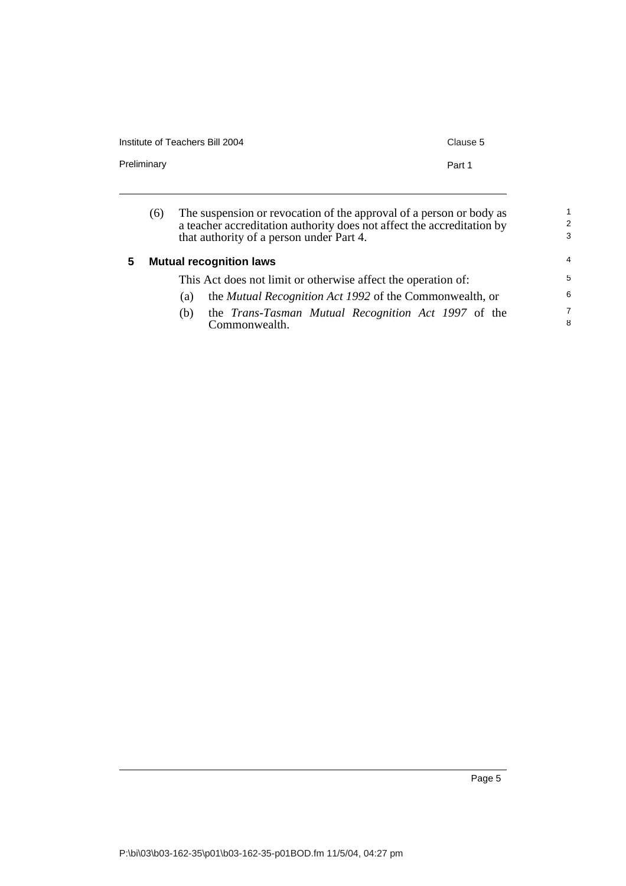| Institute of Teachers Bill 2004<br>Clause 5 |                                                                                                                                                                                           |        |
|---------------------------------------------|-------------------------------------------------------------------------------------------------------------------------------------------------------------------------------------------|--------|
| Preliminary                                 |                                                                                                                                                                                           | Part 1 |
| (6)                                         | The suspension or revocation of the approval of a person or body as<br>a teacher accreditation authority does not affect the accreditation by<br>that authority of a person under Part 4. |        |

#### <span id="page-16-0"></span>**5 Mutual recognition laws**

This Act does not limit or otherwise affect the operation of:

- (a) the *Mutual Recognition Act 1992* of the Commonwealth, or
- (b) the *Trans-Tasman Mutual Recognition Act 1997* of the Commonwealth.

1 2 3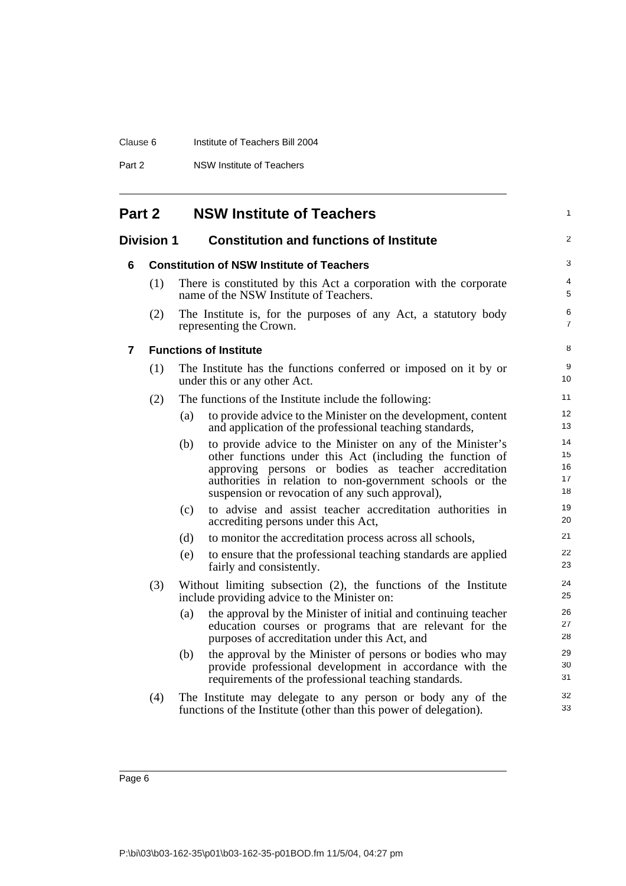#### Clause 6 Institute of Teachers Bill 2004

Part 2 **NSW** Institute of Teachers

<span id="page-17-3"></span><span id="page-17-2"></span><span id="page-17-1"></span><span id="page-17-0"></span>

| Part 2 |                   |     | <b>NSW Institute of Teachers</b>                                                                                                                                                                                                                                                               | 1                          |
|--------|-------------------|-----|------------------------------------------------------------------------------------------------------------------------------------------------------------------------------------------------------------------------------------------------------------------------------------------------|----------------------------|
|        | <b>Division 1</b> |     | <b>Constitution and functions of Institute</b>                                                                                                                                                                                                                                                 | 2                          |
| 6      |                   |     | <b>Constitution of NSW Institute of Teachers</b>                                                                                                                                                                                                                                               | 3                          |
|        | (1)               |     | There is constituted by this Act a corporation with the corporate<br>name of the NSW Institute of Teachers.                                                                                                                                                                                    | 4<br>5                     |
|        | (2)               |     | The Institute is, for the purposes of any Act, a statutory body<br>representing the Crown.                                                                                                                                                                                                     | 6<br>$\overline{7}$        |
| 7      |                   |     | <b>Functions of Institute</b>                                                                                                                                                                                                                                                                  | 8                          |
|        | (1)               |     | The Institute has the functions conferred or imposed on it by or<br>under this or any other Act.                                                                                                                                                                                               | 9<br>10                    |
|        | (2)               |     | The functions of the Institute include the following:                                                                                                                                                                                                                                          | 11                         |
|        |                   | (a) | to provide advice to the Minister on the development, content<br>and application of the professional teaching standards,                                                                                                                                                                       | 12<br>13                   |
|        |                   | (b) | to provide advice to the Minister on any of the Minister's<br>other functions under this Act (including the function of<br>approving persons or bodies as teacher accreditation<br>authorities in relation to non-government schools or the<br>suspension or revocation of any such approval), | 14<br>15<br>16<br>17<br>18 |
|        |                   | (c) | to advise and assist teacher accreditation authorities in<br>accrediting persons under this Act,                                                                                                                                                                                               | 19<br>20                   |
|        |                   | (d) | to monitor the accreditation process across all schools,                                                                                                                                                                                                                                       | 21                         |
|        |                   | (e) | to ensure that the professional teaching standards are applied<br>fairly and consistently.                                                                                                                                                                                                     | 22<br>23                   |
|        | (3)               |     | Without limiting subsection (2), the functions of the Institute<br>include providing advice to the Minister on:                                                                                                                                                                                | 24<br>25                   |
|        |                   | (a) | the approval by the Minister of initial and continuing teacher<br>education courses or programs that are relevant for the<br>purposes of accreditation under this Act, and                                                                                                                     | 26<br>27<br>28             |
|        |                   | (b) | the approval by the Minister of persons or bodies who may<br>provide professional development in accordance with the<br>requirements of the professional teaching standards.                                                                                                                   | 29<br>30<br>31             |
|        | (4)               |     | The Institute may delegate to any person or body any of the<br>functions of the Institute (other than this power of delegation).                                                                                                                                                               | 32<br>33                   |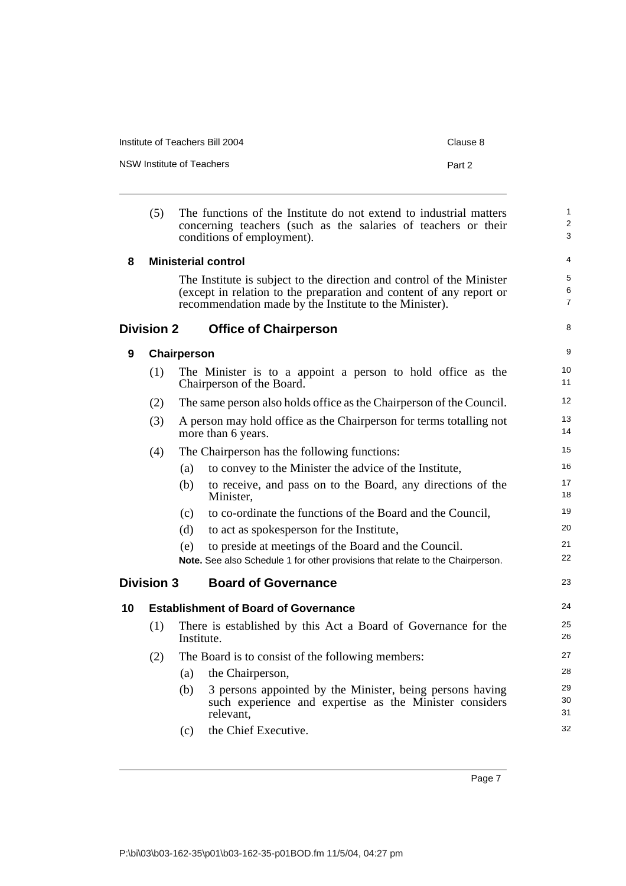<span id="page-18-4"></span><span id="page-18-3"></span><span id="page-18-2"></span><span id="page-18-1"></span><span id="page-18-0"></span>

| <b>NSW Institute of Teachers</b> |                   |             | Part 2                                                                                                                                                                                                 |                          |
|----------------------------------|-------------------|-------------|--------------------------------------------------------------------------------------------------------------------------------------------------------------------------------------------------------|--------------------------|
|                                  | (5)               |             | The functions of the Institute do not extend to industrial matters<br>concerning teachers (such as the salaries of teachers or their<br>conditions of employment).                                     | 1<br>2<br>3              |
| 8                                |                   |             | <b>Ministerial control</b>                                                                                                                                                                             | 4                        |
|                                  |                   |             | The Institute is subject to the direction and control of the Minister<br>(except in relation to the preparation and content of any report or<br>recommendation made by the Institute to the Minister). | 5<br>6<br>$\overline{7}$ |
|                                  | <b>Division 2</b> |             | <b>Office of Chairperson</b>                                                                                                                                                                           | 8                        |
| 9                                |                   | Chairperson |                                                                                                                                                                                                        | 9                        |
|                                  | (1)               |             | The Minister is to a appoint a person to hold office as the<br>Chairperson of the Board.                                                                                                               | 10<br>11                 |
|                                  | (2)               |             | The same person also holds office as the Chairperson of the Council.                                                                                                                                   | 12                       |
|                                  | (3)               |             | A person may hold office as the Chairperson for terms totalling not<br>more than 6 years.                                                                                                              | 13<br>14                 |
|                                  | (4)               |             | The Chairperson has the following functions:                                                                                                                                                           | 15                       |
|                                  |                   | (a)         | to convey to the Minister the advice of the Institute,                                                                                                                                                 | 16                       |
|                                  |                   | (b)         | to receive, and pass on to the Board, any directions of the<br>Minister,                                                                                                                               | 17<br>18                 |
|                                  |                   | (c)         | to co-ordinate the functions of the Board and the Council,                                                                                                                                             | 19                       |
|                                  |                   | (d)         | to act as spokes person for the Institute,                                                                                                                                                             | 20                       |
|                                  |                   | (e)         | to preside at meetings of the Board and the Council.<br>Note. See also Schedule 1 for other provisions that relate to the Chairperson.                                                                 | 21<br>22                 |
|                                  | <b>Division 3</b> |             | <b>Board of Governance</b>                                                                                                                                                                             | 23                       |
| 10                               |                   |             | <b>Establishment of Board of Governance</b>                                                                                                                                                            | 24                       |
|                                  | (1)               | Institute.  | There is established by this Act a Board of Governance for the                                                                                                                                         | 25<br>26                 |
|                                  | (2)               |             | The Board is to consist of the following members:                                                                                                                                                      | 27                       |
|                                  |                   | (a)         | the Chairperson,                                                                                                                                                                                       | 28                       |
|                                  |                   | (b)         | 3 persons appointed by the Minister, being persons having<br>such experience and expertise as the Minister considers<br>relevant,                                                                      | 29<br>30<br>31           |
|                                  |                   | (c)         | the Chief Executive.                                                                                                                                                                                   | 32                       |

Institute of Teachers Bill 2004 Clause 8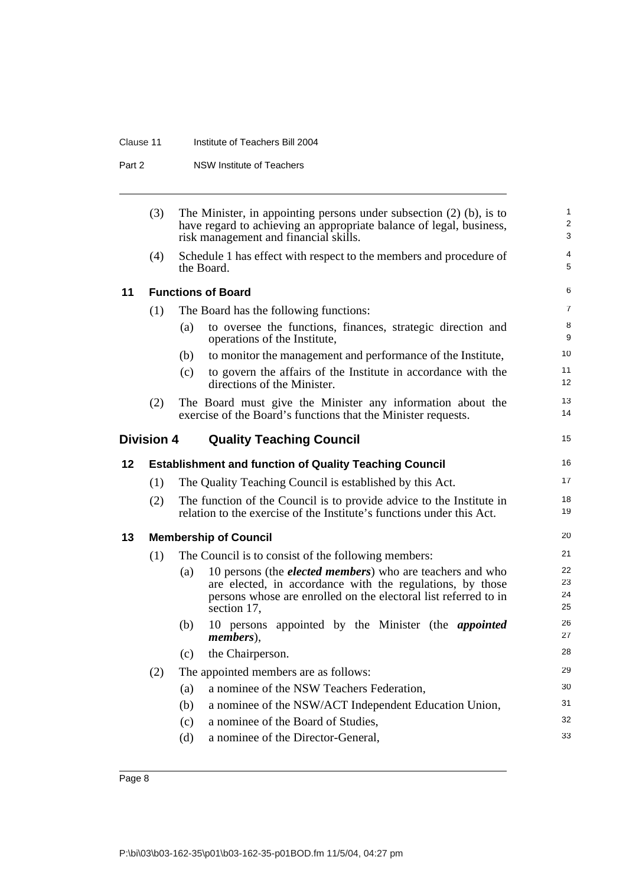#### Clause 11 Institute of Teachers Bill 2004

Part 2 **NSW** Institute of Teachers

<span id="page-19-3"></span><span id="page-19-2"></span><span id="page-19-1"></span><span id="page-19-0"></span>

|    | (3)               | The Minister, in appointing persons under subsection $(2)$ (b), is to<br>have regard to achieving an appropriate balance of legal, business,<br>risk management and financial skills.                                   | 1<br>$\overline{\mathbf{c}}$<br>3 |
|----|-------------------|-------------------------------------------------------------------------------------------------------------------------------------------------------------------------------------------------------------------------|-----------------------------------|
|    | (4)               | Schedule 1 has effect with respect to the members and procedure of<br>the Board.                                                                                                                                        | 4<br>5                            |
| 11 |                   | <b>Functions of Board</b>                                                                                                                                                                                               | 6                                 |
|    | (1)               | The Board has the following functions:                                                                                                                                                                                  | 7                                 |
|    |                   | to oversee the functions, finances, strategic direction and<br>(a)<br>operations of the Institute,                                                                                                                      | 8<br>9                            |
|    |                   | to monitor the management and performance of the Institute,<br>(b)                                                                                                                                                      | 10                                |
|    |                   | to govern the affairs of the Institute in accordance with the<br>(c)<br>directions of the Minister.                                                                                                                     | 11<br>12                          |
|    | (2)               | The Board must give the Minister any information about the<br>exercise of the Board's functions that the Minister requests.                                                                                             | 13<br>14                          |
|    | <b>Division 4</b> | <b>Quality Teaching Council</b>                                                                                                                                                                                         | 15                                |
| 12 |                   | <b>Establishment and function of Quality Teaching Council</b>                                                                                                                                                           | 16                                |
|    | (1)               | The Quality Teaching Council is established by this Act.                                                                                                                                                                | 17                                |
|    | (2)               | The function of the Council is to provide advice to the Institute in<br>relation to the exercise of the Institute's functions under this Act.                                                                           | 18<br>19                          |
| 13 |                   | <b>Membership of Council</b>                                                                                                                                                                                            | 20                                |
|    | (1)               | The Council is to consist of the following members:                                                                                                                                                                     | 21                                |
|    |                   | 10 persons (the <i>elected members</i> ) who are teachers and who<br>(a)<br>are elected, in accordance with the regulations, by those<br>persons whose are enrolled on the electoral list referred to in<br>section 17, | 22<br>23<br>24<br>25              |
|    |                   | 10 persons appointed by the Minister (the <i>appointed</i><br>(b)<br><i>members</i> ),                                                                                                                                  | 26<br>27                          |
|    |                   | the Chairperson.<br>(c)                                                                                                                                                                                                 | 28                                |
|    | (2)               | The appointed members are as follows:                                                                                                                                                                                   | 29                                |
|    |                   | a nominee of the NSW Teachers Federation,<br>(a)                                                                                                                                                                        | 30                                |
|    |                   | a nominee of the NSW/ACT Independent Education Union,<br>(b)                                                                                                                                                            | 31                                |
|    |                   | a nominee of the Board of Studies,<br>(c)                                                                                                                                                                               | 32                                |
|    |                   | a nominee of the Director-General,<br>(d)                                                                                                                                                                               | 33                                |
|    |                   |                                                                                                                                                                                                                         |                                   |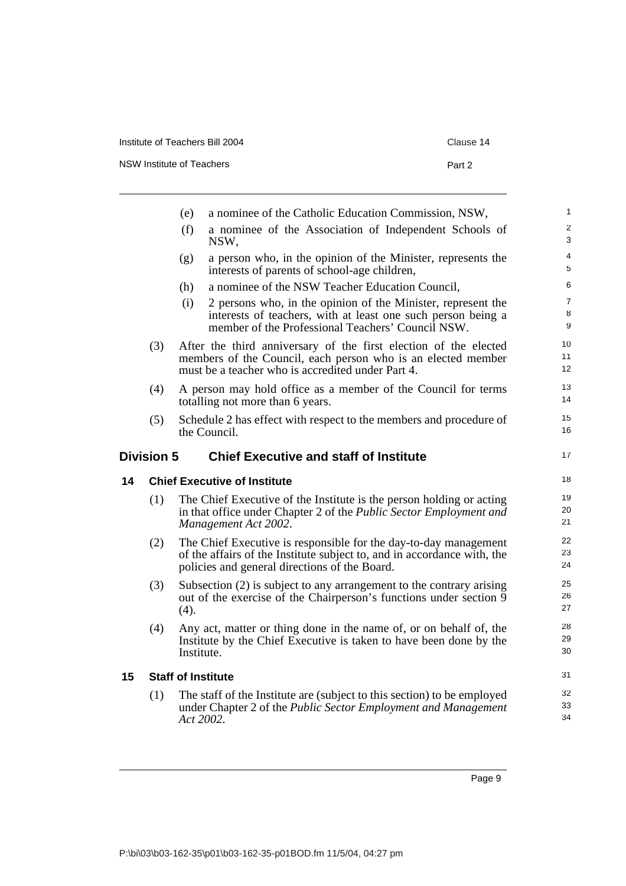NSW Institute of Teachers

| ∙art<br>× |
|-----------|
|           |

<span id="page-20-2"></span><span id="page-20-1"></span><span id="page-20-0"></span>

|    |                   | (e)        | a nominee of the Catholic Education Commission, NSW,                                                                                                                                         | $\mathbf{1}$             |
|----|-------------------|------------|----------------------------------------------------------------------------------------------------------------------------------------------------------------------------------------------|--------------------------|
|    |                   | (f)        | a nominee of the Association of Independent Schools of<br>NSW,                                                                                                                               | $\overline{c}$<br>3      |
|    |                   | (g)        | a person who, in the opinion of the Minister, represents the<br>interests of parents of school-age children,                                                                                 | 4<br>5                   |
|    |                   | (h)        | a nominee of the NSW Teacher Education Council,                                                                                                                                              | 6                        |
|    |                   | (i)        | 2 persons who, in the opinion of the Minister, represent the<br>interests of teachers, with at least one such person being a<br>member of the Professional Teachers' Council NSW.            | $\overline{7}$<br>8<br>9 |
|    | (3)               |            | After the third anniversary of the first election of the elected<br>members of the Council, each person who is an elected member<br>must be a teacher who is accredited under Part 4.        | 10<br>11<br>12           |
|    | (4)               |            | A person may hold office as a member of the Council for terms<br>totalling not more than 6 years.                                                                                            | 13<br>14                 |
|    | (5)               |            | Schedule 2 has effect with respect to the members and procedure of<br>the Council.                                                                                                           | 15<br>16                 |
|    | <b>Division 5</b> |            | <b>Chief Executive and staff of Institute</b>                                                                                                                                                | 17                       |
| 14 |                   |            | <b>Chief Executive of Institute</b>                                                                                                                                                          | 18                       |
|    | (1)               |            | The Chief Executive of the Institute is the person holding or acting<br>in that office under Chapter 2 of the Public Sector Employment and<br>Management Act 2002.                           | 19<br>20<br>21           |
|    | (2)               |            | The Chief Executive is responsible for the day-to-day management<br>of the affairs of the Institute subject to, and in accordance with, the<br>policies and general directions of the Board. | 22<br>23<br>24           |
|    | (3)               | (4).       | Subsection (2) is subject to any arrangement to the contrary arising<br>out of the exercise of the Chairperson's functions under section 9                                                   | 25<br>26<br>27           |
|    | (4)               | Institute. | Any act, matter or thing done in the name of, or on behalf of, the<br>Institute by the Chief Executive is taken to have been done by the                                                     | 28<br>29<br>30           |
| 15 |                   |            |                                                                                                                                                                                              |                          |
|    |                   |            | <b>Staff of Institute</b>                                                                                                                                                                    | 31                       |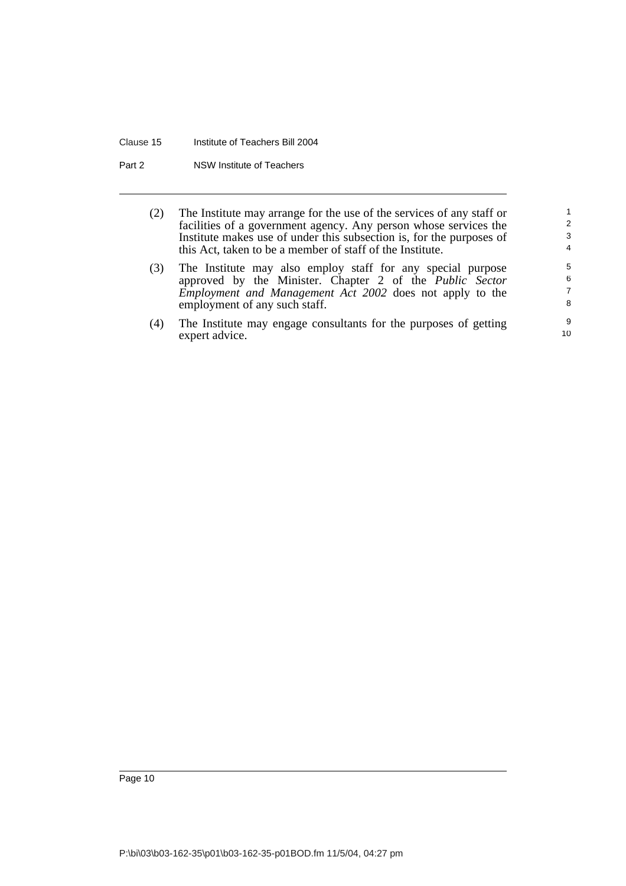#### Clause 15 Institute of Teachers Bill 2004

Part 2 NSW Institute of Teachers

| (2) | The Institute may arrange for the use of the services of any staff or<br>facilities of a government agency. Any person whose services the<br>Institute makes use of under this subsection is, for the purposes of<br>this Act, taken to be a member of staff of the Institute. |
|-----|--------------------------------------------------------------------------------------------------------------------------------------------------------------------------------------------------------------------------------------------------------------------------------|
| (3) | The Institute may also employ staff for any special purpose<br>approved by the Minister. Chapter 2 of the Public Sector<br>Employment and Management Act 2002 does not apply to the<br>employment of any such staff.                                                           |

(4) The Institute may engage consultants for the purposes of getting expert advice.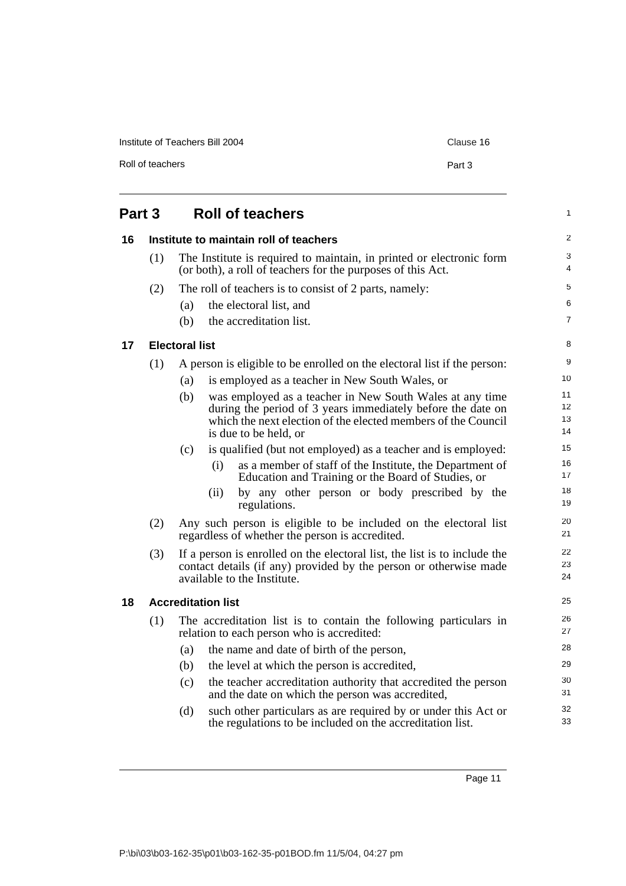| Institute of Teachers Bill 2004 | Clause 16 |
|---------------------------------|-----------|
| Roll of teachers                | Part 3    |

<span id="page-22-3"></span><span id="page-22-2"></span><span id="page-22-1"></span><span id="page-22-0"></span>

| Part 3 |     | <b>Roll of teachers</b>                                                                                                                                                                                                  | 1                    |
|--------|-----|--------------------------------------------------------------------------------------------------------------------------------------------------------------------------------------------------------------------------|----------------------|
| 16     |     | Institute to maintain roll of teachers                                                                                                                                                                                   | 2                    |
|        | (1) | The Institute is required to maintain, in printed or electronic form<br>(or both), a roll of teachers for the purposes of this Act.                                                                                      | 3<br>4               |
|        | (2) | The roll of teachers is to consist of 2 parts, namely:                                                                                                                                                                   | 5                    |
|        |     | the electoral list, and<br>(a)                                                                                                                                                                                           | 6                    |
|        |     | the accreditation list.<br>(b)                                                                                                                                                                                           | $\overline{7}$       |
| 17     |     | <b>Electoral list</b>                                                                                                                                                                                                    | 8                    |
|        | (1) | A person is eligible to be enrolled on the electoral list if the person:                                                                                                                                                 | 9                    |
|        |     | is employed as a teacher in New South Wales, or<br>(a)                                                                                                                                                                   | 10                   |
|        |     | (b)<br>was employed as a teacher in New South Wales at any time<br>during the period of 3 years immediately before the date on<br>which the next election of the elected members of the Council<br>is due to be held, or | 11<br>12<br>13<br>14 |
|        |     | is qualified (but not employed) as a teacher and is employed:<br>(c)                                                                                                                                                     | 15                   |
|        |     | as a member of staff of the Institute, the Department of<br>(i)<br>Education and Training or the Board of Studies, or                                                                                                    | 16<br>17             |
|        |     | by any other person or body prescribed by the<br>(ii)<br>regulations.                                                                                                                                                    | 18<br>19             |
|        | (2) | Any such person is eligible to be included on the electoral list<br>regardless of whether the person is accredited.                                                                                                      | 20<br>21             |
|        | (3) | If a person is enrolled on the electoral list, the list is to include the<br>contact details (if any) provided by the person or otherwise made<br>available to the Institute.                                            | 22<br>23<br>24       |
| 18     |     | <b>Accreditation list</b>                                                                                                                                                                                                | 25                   |
|        | (1) | The accreditation list is to contain the following particulars in<br>relation to each person who is accredited:                                                                                                          | 26<br>27             |
|        |     | (a)<br>the name and date of birth of the person,                                                                                                                                                                         | 28                   |
|        |     | the level at which the person is accredited,<br>(b)                                                                                                                                                                      | 29                   |
|        |     | the teacher accreditation authority that accredited the person<br>(c)<br>and the date on which the person was accredited,                                                                                                | 30<br>31             |
|        |     | (d)<br>such other particulars as are required by or under this Act or<br>the regulations to be included on the accreditation list.                                                                                       | 32<br>33             |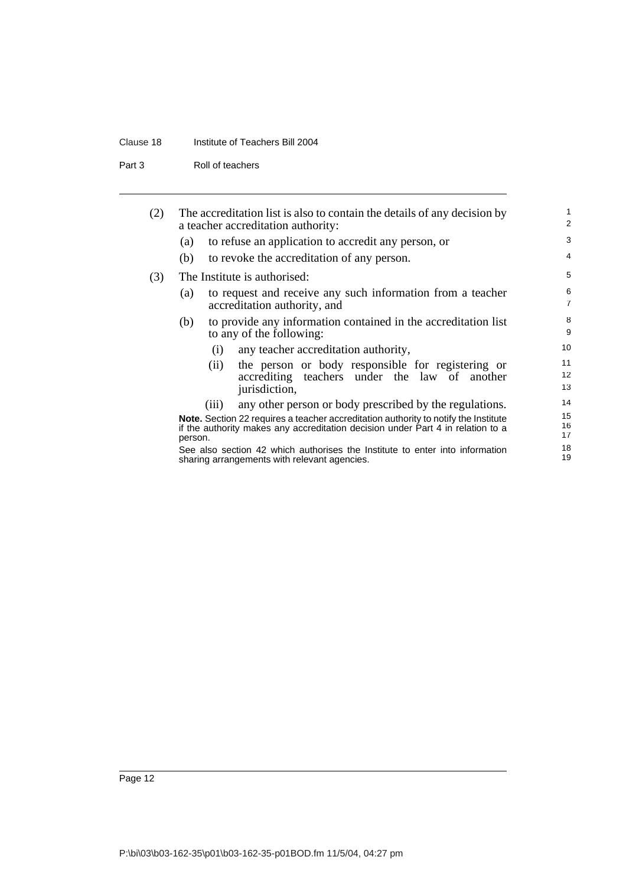#### Clause 18 Institute of Teachers Bill 2004

Part 3 Roll of teachers

| (2) |         |       | The accreditation list is also to contain the details of any decision by<br>a teacher accreditation authority:                                                                | 1<br>$\overline{2}$ |
|-----|---------|-------|-------------------------------------------------------------------------------------------------------------------------------------------------------------------------------|---------------------|
|     | (a)     |       | to refuse an application to accredit any person, or                                                                                                                           | 3                   |
|     | (b)     |       | to revoke the accreditation of any person.                                                                                                                                    | $\overline{4}$      |
| (3) |         |       | The Institute is authorised:                                                                                                                                                  | 5                   |
|     | (a)     |       | to request and receive any such information from a teacher<br>accreditation authority, and                                                                                    | 6<br>$\overline{7}$ |
|     | (b)     |       | to provide any information contained in the accreditation list<br>to any of the following:                                                                                    | 8<br>9              |
|     |         | (i)   | any teacher accreditation authority,                                                                                                                                          | 10                  |
|     |         | (ii)  | the person or body responsible for registering or<br>accrediting teachers under the law of another<br>jurisdiction,                                                           | 11<br>12<br>13      |
|     |         | (111) | any other person or body prescribed by the regulations.                                                                                                                       | 14                  |
|     | person. |       | <b>Note.</b> Section 22 requires a teacher accreditation authority to notify the Institute<br>if the authority makes any accreditation decision under Part 4 in relation to a | 15<br>16<br>17      |
|     |         |       | See also section 42 which authorises the Institute to enter into information<br>sharing arrangements with relevant agencies.                                                  | 18<br>19            |
|     |         |       |                                                                                                                                                                               |                     |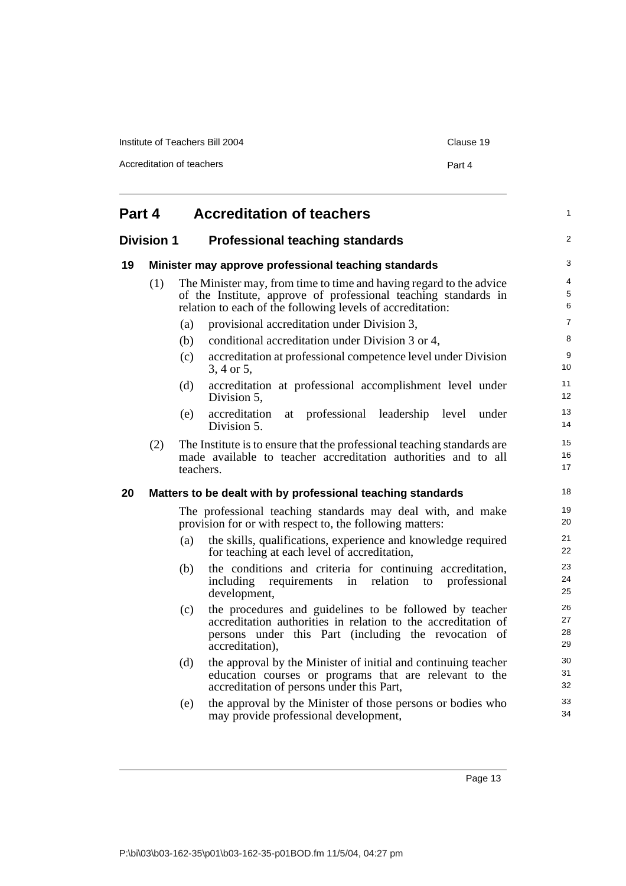Institute of Teachers Bill 2004 Clause 19 Accreditation of teachers **Part 4** 

<span id="page-24-3"></span><span id="page-24-2"></span><span id="page-24-1"></span><span id="page-24-0"></span>

| Part 4 |                   |           | <b>Accreditation of teachers</b>                                                                                                                                                                     | $\mathbf{1}$         |
|--------|-------------------|-----------|------------------------------------------------------------------------------------------------------------------------------------------------------------------------------------------------------|----------------------|
|        | <b>Division 1</b> |           | <b>Professional teaching standards</b>                                                                                                                                                               | 2                    |
| 19     |                   |           | Minister may approve professional teaching standards                                                                                                                                                 | 3                    |
|        | (1)               |           | The Minister may, from time to time and having regard to the advice<br>of the Institute, approve of professional teaching standards in<br>relation to each of the following levels of accreditation: | 4<br>5<br>6          |
|        |                   | (a)       | provisional accreditation under Division 3,                                                                                                                                                          | $\overline{7}$       |
|        |                   | (b)       | conditional accreditation under Division 3 or 4,                                                                                                                                                     | 8                    |
|        |                   | (c)       | accreditation at professional competence level under Division<br>3, 4 or 5,                                                                                                                          | 9<br>10              |
|        |                   | (d)       | accreditation at professional accomplishment level under<br>Division 5,                                                                                                                              | 11<br>12             |
|        |                   | (e)       | at professional leadership level<br>accreditation<br>under<br>Division 5.                                                                                                                            | 13<br>14             |
|        | (2)               | teachers. | The Institute is to ensure that the professional teaching standards are<br>made available to teacher accreditation authorities and to all                                                            | 15<br>16<br>17       |
| 20     |                   |           | Matters to be dealt with by professional teaching standards                                                                                                                                          | 18                   |
|        |                   |           | The professional teaching standards may deal with, and make<br>provision for or with respect to, the following matters:                                                                              | 19<br>20             |
|        |                   | (a)       | the skills, qualifications, experience and knowledge required<br>for teaching at each level of accreditation,                                                                                        | 21<br>22             |
|        |                   | (b)       | the conditions and criteria for continuing accreditation,<br>including<br>requirements in relation<br>professional<br>to<br>development,                                                             | 23<br>24<br>25       |
|        |                   | (c)       | the procedures and guidelines to be followed by teacher<br>accreditation authorities in relation to the accreditation of<br>persons under this Part (including the revocation of<br>accreditation),  | 26<br>27<br>28<br>29 |
|        |                   | (d)       | the approval by the Minister of initial and continuing teacher<br>education courses or programs that are relevant to the<br>accreditation of persons under this Part,                                | 30<br>31<br>32       |
|        |                   | (e)       | the approval by the Minister of those persons or bodies who<br>may provide professional development,                                                                                                 | 33<br>34             |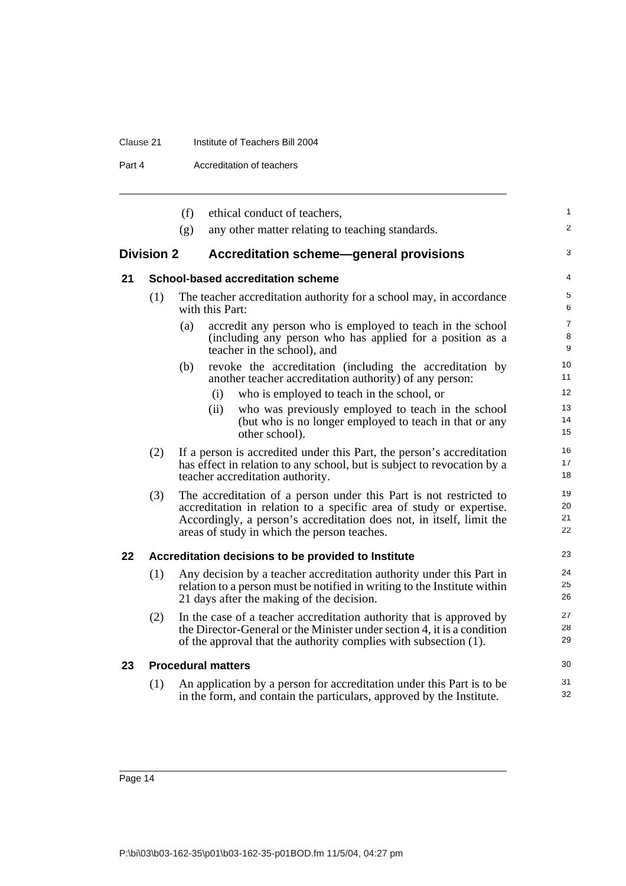#### Clause 21 Institute of Teachers Bill 2004

Part 4 **Accreditation of teachers** 

<span id="page-25-3"></span><span id="page-25-2"></span><span id="page-25-1"></span><span id="page-25-0"></span>

|    |                   | (f) | ethical conduct of teachers,                                                                                                                           | $\mathbf{1}$                  |
|----|-------------------|-----|--------------------------------------------------------------------------------------------------------------------------------------------------------|-------------------------------|
|    |                   | (g) | any other matter relating to teaching standards.                                                                                                       | 2                             |
|    | <b>Division 2</b> |     | <b>Accreditation scheme-general provisions</b>                                                                                                         | 3                             |
| 21 |                   |     | <b>School-based accreditation scheme</b>                                                                                                               | $\overline{4}$                |
|    | (1)               |     | The teacher accreditation authority for a school may, in accordance<br>with this Part:                                                                 | 5<br>6                        |
|    |                   | (a) | accredit any person who is employed to teach in the school<br>(including any person who has applied for a position as a<br>teacher in the school), and | $\overline{7}$<br>$\bf8$<br>9 |
|    |                   | (b) | revoke the accreditation (including the accreditation by<br>another teacher accreditation authority) of any person:                                    | 10<br>11                      |
|    |                   |     | who is employed to teach in the school, or<br>(i)                                                                                                      | 12                            |
|    |                   |     | who was previously employed to teach in the school<br>(ii)                                                                                             | 13                            |
|    |                   |     | (but who is no longer employed to teach in that or any<br>other school).                                                                               | 14<br>15                      |
|    | (2)               |     | If a person is accredited under this Part, the person's accreditation                                                                                  | 16                            |
|    |                   |     | has effect in relation to any school, but is subject to revocation by a<br>teacher accreditation authority.                                            | 17<br>18                      |
|    | (3)               |     | The accreditation of a person under this Part is not restricted to                                                                                     | 19                            |
|    |                   |     | accreditation in relation to a specific area of study or expertise.                                                                                    | 20                            |
|    |                   |     | Accordingly, a person's accreditation does not, in itself, limit the<br>areas of study in which the person teaches.                                    | 21<br>22                      |
| 22 |                   |     | Accreditation decisions to be provided to Institute                                                                                                    | 23                            |
|    | (1)               |     | Any decision by a teacher accreditation authority under this Part in                                                                                   | 24                            |
|    |                   |     | relation to a person must be notified in writing to the Institute within                                                                               | 25                            |
|    |                   |     | 21 days after the making of the decision.                                                                                                              | 26                            |
|    | (2)               |     | In the case of a teacher accreditation authority that is approved by                                                                                   | 27                            |
|    |                   |     | the Director-General or the Minister under section 4, it is a condition<br>of the approval that the authority complies with subsection (1).            | 28<br>29                      |
| 23 |                   |     | <b>Procedural matters</b>                                                                                                                              | 30                            |
|    | (1)               |     | An application by a person for accreditation under this Part is to be<br>in the form, and contain the particulars, approved by the Institute.          | 31<br>32                      |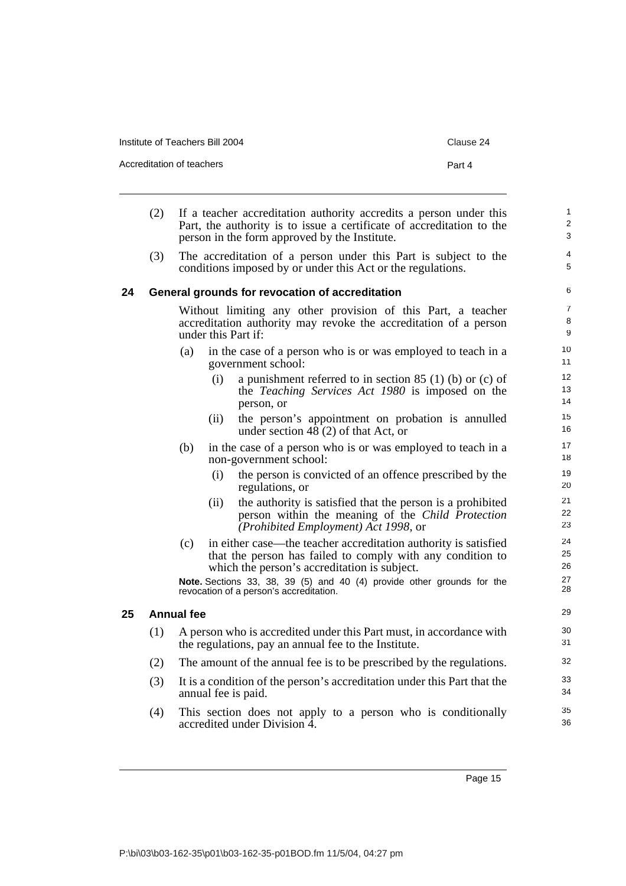Institute of Teachers Bill 2004 Clause 24

Accreditation of teachers **Part 4** 

<span id="page-26-1"></span><span id="page-26-0"></span>(2) If a teacher accreditation authority accredits a person under this Part, the authority is to issue a certificate of accreditation to the person in the form approved by the Institute. (3) The accreditation of a person under this Part is subject to the conditions imposed by or under this Act or the regulations. **24 General grounds for revocation of accreditation** Without limiting any other provision of this Part, a teacher accreditation authority may revoke the accreditation of a person under this Part if: (a) in the case of a person who is or was employed to teach in a government school: (i) a punishment referred to in section  $85(1)$  (b) or (c) of the *Teaching Services Act 1980* is imposed on the person, or (ii) the person's appointment on probation is annulled under section 48 (2) of that Act, or (b) in the case of a person who is or was employed to teach in a non-government school: (i) the person is convicted of an offence prescribed by the regulations, or (ii) the authority is satisfied that the person is a prohibited person within the meaning of the *Child Protection (Prohibited Employment) Act 1998*, or (c) in either case—the teacher accreditation authority is satisfied that the person has failed to comply with any condition to which the person's accreditation is subject. **Note.** Sections 33, 38, 39 (5) and 40 (4) provide other grounds for the revocation of a person's accreditation. **25 Annual fee** (1) A person who is accredited under this Part must, in accordance with the regulations, pay an annual fee to the Institute. (2) The amount of the annual fee is to be prescribed by the regulations. (3) It is a condition of the person's accreditation under this Part that the annual fee is paid. (4) This section does not apply to a person who is conditionally accredited under Division 4. 1  $\overline{2}$ 3 4 5 6 7 8 9 10 11 12 13 14 15 16 17 18 19 20 21 22 23 24 25 26 27 28 29 30 31 32 33 34 35 36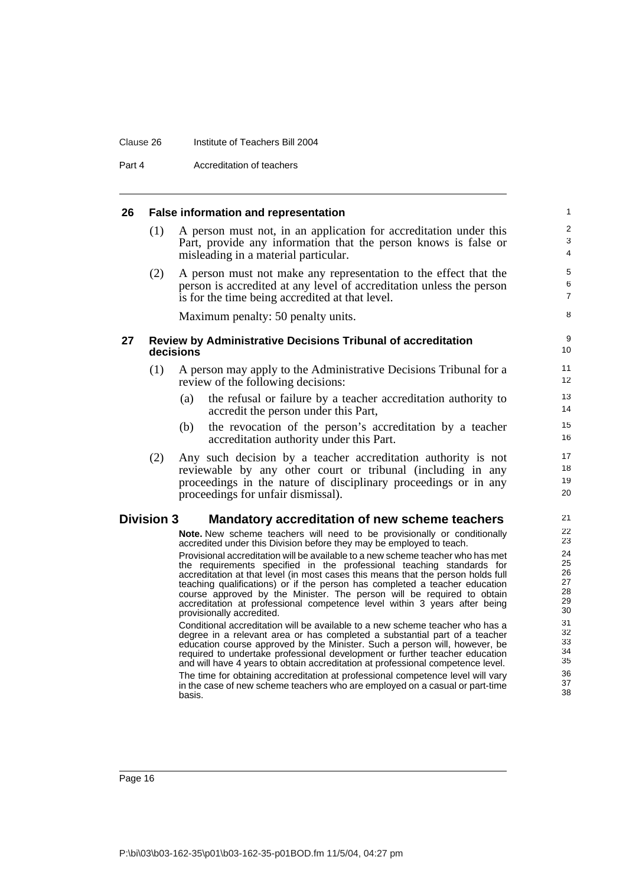#### Clause 26 Institute of Teachers Bill 2004

Part 4 Accreditation of teachers

#### <span id="page-27-0"></span>**26 False information and representation**

(1) A person must not, in an application for accreditation under this Part, provide any information that the person knows is false or misleading in a material particular.

(2) A person must not make any representation to the effect that the person is accredited at any level of accreditation unless the person is for the time being accredited at that level.

Maximum penalty: 50 penalty units.

#### <span id="page-27-1"></span>**27 Review by Administrative Decisions Tribunal of accreditation decisions**

- (1) A person may apply to the Administrative Decisions Tribunal for a review of the following decisions:
	- (a) the refusal or failure by a teacher accreditation authority to accredit the person under this Part,
	- (b) the revocation of the person's accreditation by a teacher accreditation authority under this Part.
- (2) Any such decision by a teacher accreditation authority is not reviewable by any other court or tribunal (including in any proceedings in the nature of disciplinary proceedings or in any proceedings for unfair dismissal).

#### <span id="page-27-2"></span>**Division 3 Mandatory accreditation of new scheme teachers**

**Note.** New scheme teachers will need to be provisionally or conditionally accredited under this Division before they may be employed to teach.

Provisional accreditation will be available to a new scheme teacher who has met the requirements specified in the professional teaching standards for accreditation at that level (in most cases this means that the person holds full teaching qualifications) or if the person has completed a teacher education course approved by the Minister. The person will be required to obtain accreditation at professional competence level within 3 years after being provisionally accredited.

Conditional accreditation will be available to a new scheme teacher who has a degree in a relevant area or has completed a substantial part of a teacher education course approved by the Minister. Such a person will, however, be required to undertake professional development or further teacher education and will have 4 years to obtain accreditation at professional competence level.

The time for obtaining accreditation at professional competence level will vary in the case of new scheme teachers who are employed on a casual or part-time basis.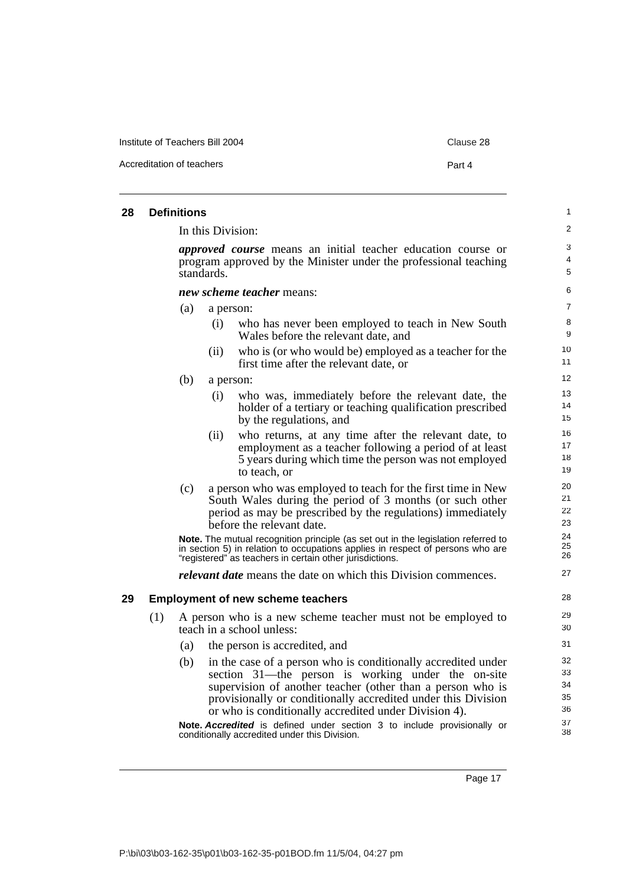| Institute of Teachers Bill 2004 | Clause 28 |
|---------------------------------|-----------|
| Accreditation of teachers       | Part 4    |
|                                 |           |

<span id="page-28-1"></span><span id="page-28-0"></span>

| 28 |     | <b>Definitions</b> |            |                                                                                                                                                                                                                                                                                                                 | 1                          |
|----|-----|--------------------|------------|-----------------------------------------------------------------------------------------------------------------------------------------------------------------------------------------------------------------------------------------------------------------------------------------------------------------|----------------------------|
|    |     |                    |            | In this Division:                                                                                                                                                                                                                                                                                               | $\overline{2}$             |
|    |     |                    | standards. | <i>approved course</i> means an initial teacher education course or<br>program approved by the Minister under the professional teaching                                                                                                                                                                         | 3<br>4<br>5                |
|    |     |                    |            | new scheme teacher means:                                                                                                                                                                                                                                                                                       | 6                          |
|    |     | (a)                |            | a person:                                                                                                                                                                                                                                                                                                       | 7                          |
|    |     |                    | (i)        | who has never been employed to teach in New South<br>Wales before the relevant date, and                                                                                                                                                                                                                        | 8<br>9                     |
|    |     |                    | (ii)       | who is (or who would be) employed as a teacher for the<br>first time after the relevant date, or                                                                                                                                                                                                                | 10<br>11                   |
|    |     | (b)                |            | a person:                                                                                                                                                                                                                                                                                                       | 12                         |
|    |     |                    | (i)        | who was, immediately before the relevant date, the<br>holder of a tertiary or teaching qualification prescribed<br>by the regulations, and                                                                                                                                                                      | 13<br>14<br>15             |
|    |     |                    | (ii)       | who returns, at any time after the relevant date, to<br>employment as a teacher following a period of at least<br>5 years during which time the person was not employed<br>to teach, or                                                                                                                         | 16<br>17<br>18<br>19       |
|    |     | (c)                |            | a person who was employed to teach for the first time in New<br>South Wales during the period of 3 months (or such other<br>period as may be prescribed by the regulations) immediately<br>before the relevant date.                                                                                            | 20<br>21<br>22<br>23       |
|    |     |                    |            | Note. The mutual recognition principle (as set out in the legislation referred to<br>in section 5) in relation to occupations applies in respect of persons who are<br>"registered" as teachers in certain other jurisdictions.                                                                                 | 24<br>25<br>26             |
|    |     |                    |            | <i>relevant date</i> means the date on which this Division commences.                                                                                                                                                                                                                                           | 27                         |
| 29 |     |                    |            | <b>Employment of new scheme teachers</b>                                                                                                                                                                                                                                                                        | 28                         |
|    | (1) |                    |            | A person who is a new scheme teacher must not be employed to<br>teach in a school unless:                                                                                                                                                                                                                       | 29<br>30                   |
|    |     | (a)                |            | the person is accredited, and                                                                                                                                                                                                                                                                                   | 31                         |
|    |     |                    |            | (b) in the case of a person who is conditionally accredited under<br>section 31—the person is working under the on-site<br>supervision of another teacher (other than a person who is<br>provisionally or conditionally accredited under this Division<br>or who is conditionally accredited under Division 4). | 32<br>33<br>34<br>35<br>36 |
|    |     |                    |            | Note. Accredited is defined under section 3 to include provisionally or<br>conditionally accredited under this Division.                                                                                                                                                                                        | 37<br>38                   |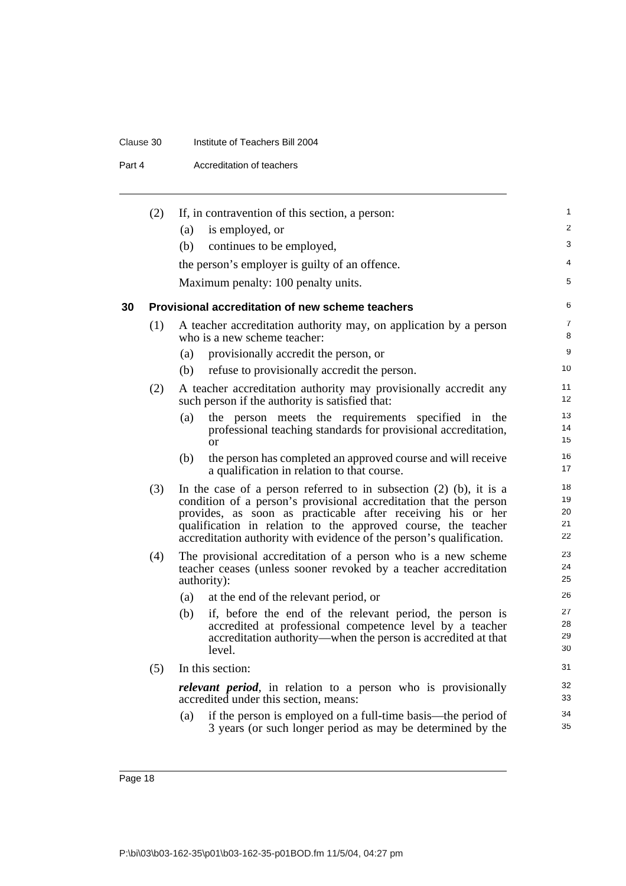#### Clause 30 Institute of Teachers Bill 2004

Part 4 **Accreditation of teachers** 

<span id="page-29-0"></span>

|    | (2) |     | If, in contravention of this section, a person:                                                                                                                                                                                                                                                                                                   | 1                          |
|----|-----|-----|---------------------------------------------------------------------------------------------------------------------------------------------------------------------------------------------------------------------------------------------------------------------------------------------------------------------------------------------------|----------------------------|
|    |     | (a) | is employed, or                                                                                                                                                                                                                                                                                                                                   | $\overline{c}$             |
|    |     | (b) | continues to be employed,                                                                                                                                                                                                                                                                                                                         | 3                          |
|    |     |     | the person's employer is guilty of an offence.                                                                                                                                                                                                                                                                                                    | 4                          |
|    |     |     | Maximum penalty: 100 penalty units.                                                                                                                                                                                                                                                                                                               | 5                          |
| 30 |     |     | Provisional accreditation of new scheme teachers                                                                                                                                                                                                                                                                                                  | 6                          |
|    | (1) |     | A teacher accreditation authority may, on application by a person<br>who is a new scheme teacher:                                                                                                                                                                                                                                                 | 7<br>8                     |
|    |     | (a) | provisionally accredit the person, or                                                                                                                                                                                                                                                                                                             | 9                          |
|    |     | (b) | refuse to provisionally accredit the person.                                                                                                                                                                                                                                                                                                      | 10                         |
|    | (2) |     | A teacher accreditation authority may provisionally accredit any<br>such person if the authority is satisfied that:                                                                                                                                                                                                                               | 11<br>12                   |
|    |     | (a) | the person meets the requirements specified in the<br>professional teaching standards for provisional accreditation,<br>or                                                                                                                                                                                                                        | 13<br>14<br>15             |
|    |     | (b) | the person has completed an approved course and will receive<br>a qualification in relation to that course.                                                                                                                                                                                                                                       | 16<br>17                   |
|    | (3) |     | In the case of a person referred to in subsection $(2)$ (b), it is a<br>condition of a person's provisional accreditation that the person<br>provides, as soon as practicable after receiving his or her<br>qualification in relation to the approved course, the teacher<br>accreditation authority with evidence of the person's qualification. | 18<br>19<br>20<br>21<br>22 |
|    | (4) |     | The provisional accreditation of a person who is a new scheme<br>teacher ceases (unless sooner revoked by a teacher accreditation<br>authority):                                                                                                                                                                                                  | 23<br>24<br>25             |
|    |     | (a) | at the end of the relevant period, or                                                                                                                                                                                                                                                                                                             | 26                         |
|    |     | (b) | if, before the end of the relevant period, the person is<br>accredited at professional competence level by a teacher<br>accreditation authority—when the person is accredited at that<br>level.                                                                                                                                                   | 27<br>28<br>29<br>30       |
|    | (5) |     | In this section:                                                                                                                                                                                                                                                                                                                                  | 31                         |
|    |     |     | <i>relevant period</i> , in relation to a person who is provisionally<br>accredited under this section, means:                                                                                                                                                                                                                                    | 32<br>33                   |
|    |     | (a) | if the person is employed on a full-time basis—the period of<br>3 years (or such longer period as may be determined by the                                                                                                                                                                                                                        | 34<br>35                   |
|    |     |     |                                                                                                                                                                                                                                                                                                                                                   |                            |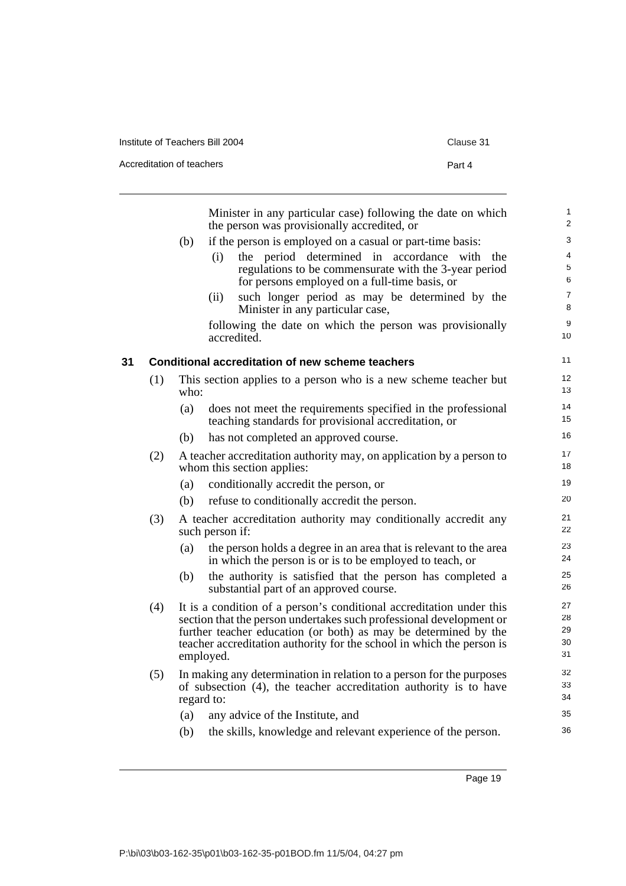| Institute of Teachers Bill 2004 | Clause 31 |
|---------------------------------|-----------|
| Accreditation of teachers       | Part 4    |

<span id="page-30-0"></span>

|    |     |      | Minister in any particular case) following the date on which<br>the person was provisionally accredited, or                                                                                                                                                                                                                 | $\mathbf 1$<br>$\overline{2}$                |
|----|-----|------|-----------------------------------------------------------------------------------------------------------------------------------------------------------------------------------------------------------------------------------------------------------------------------------------------------------------------------|----------------------------------------------|
|    |     | (b)  | if the person is employed on a casual or part-time basis:<br>the period determined in accordance with<br>(i)<br>the<br>regulations to be commensurate with the 3-year period<br>for persons employed on a full-time basis, or<br>such longer period as may be determined by the<br>(ii)<br>Minister in any particular case, | 3<br>4<br>5<br>6<br>$\overline{7}$<br>8<br>9 |
|    |     |      | following the date on which the person was provisionally<br>accredited.                                                                                                                                                                                                                                                     | 10                                           |
| 31 |     |      | <b>Conditional accreditation of new scheme teachers</b>                                                                                                                                                                                                                                                                     | 11                                           |
|    | (1) | who: | This section applies to a person who is a new scheme teacher but                                                                                                                                                                                                                                                            | 12<br>13                                     |
|    |     | (a)  | does not meet the requirements specified in the professional<br>teaching standards for provisional accreditation, or                                                                                                                                                                                                        | 14<br>15                                     |
|    |     | (b)  | has not completed an approved course.                                                                                                                                                                                                                                                                                       | 16                                           |
|    | (2) |      | A teacher accreditation authority may, on application by a person to<br>whom this section applies:                                                                                                                                                                                                                          | 17<br>18                                     |
|    |     | (a)  | conditionally accredit the person, or                                                                                                                                                                                                                                                                                       | 19                                           |
|    |     | (b)  | refuse to conditionally accredit the person.                                                                                                                                                                                                                                                                                | 20                                           |
|    | (3) |      | A teacher accreditation authority may conditionally accredit any<br>such person if:                                                                                                                                                                                                                                         | 21<br>22                                     |
|    |     | (a)  | the person holds a degree in an area that is relevant to the area<br>in which the person is or is to be employed to teach, or                                                                                                                                                                                               | 23<br>24                                     |
|    |     | (b)  | the authority is satisfied that the person has completed a<br>substantial part of an approved course.                                                                                                                                                                                                                       | 25<br>26                                     |
|    | (4) |      | It is a condition of a person's conditional accreditation under this<br>section that the person undertakes such professional development or<br>further teacher education (or both) as may be determined by the<br>teacher accreditation authority for the school in which the person is<br>employed.                        | 27<br>28<br>29<br>30<br>31                   |
|    | (5) |      | In making any determination in relation to a person for the purposes<br>of subsection (4), the teacher accreditation authority is to have<br>regard to:                                                                                                                                                                     | 32<br>33<br>34                               |
|    |     | (a)  | any advice of the Institute, and                                                                                                                                                                                                                                                                                            | 35                                           |
|    |     | (b)  | the skills, knowledge and relevant experience of the person.                                                                                                                                                                                                                                                                | 36                                           |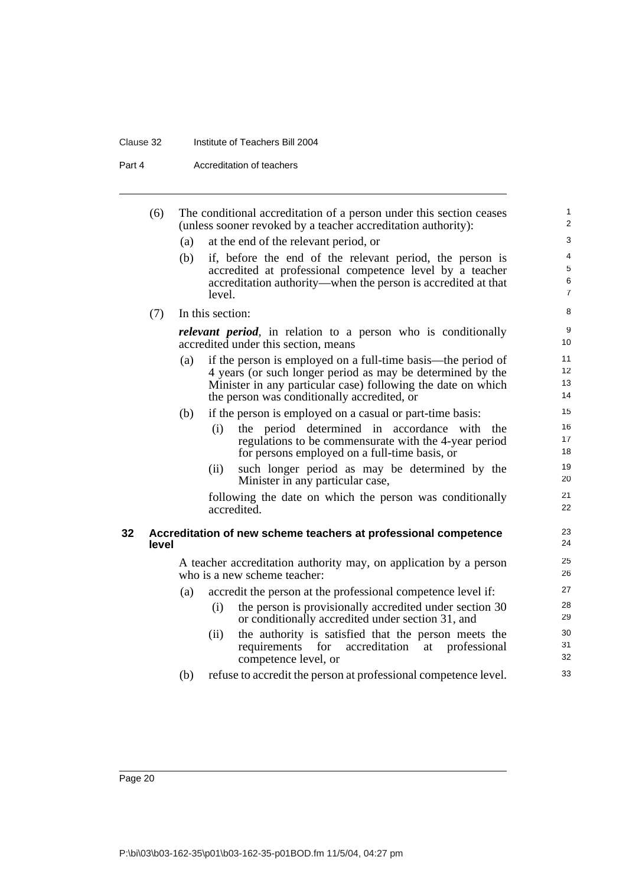#### Clause 32 Institute of Teachers Bill 2004

Part 4 Accreditation of teachers

|     | The conditional accreditation of a person under this section ceases<br>(unless sooner revoked by a teacher accreditation authority): |
|-----|--------------------------------------------------------------------------------------------------------------------------------------|
| (a) | at the end of the relevant period, or                                                                                                |
|     |                                                                                                                                      |

- (b) if, before the end of the relevant period, the person is accredited at professional competence level by a teacher accreditation authority—when the person is accredited at that level.
- (7) In this section:

*relevant period*, in relation to a person who is conditionally accredited under this section, means

- (a) if the person is employed on a full-time basis—the period of 4 years (or such longer period as may be determined by the Minister in any particular case) following the date on which the person was conditionally accredited, or
- (b) if the person is employed on a casual or part-time basis:
	- (i) the period determined in accordance with the regulations to be commensurate with the 4-year period for persons employed on a full-time basis, or
	- (ii) such longer period as may be determined by the Minister in any particular case,

following the date on which the person was conditionally accredited.

#### <span id="page-31-0"></span>**32 Accreditation of new scheme teachers at professional competence level**

A teacher accreditation authority may, on application by a person who is a new scheme teacher:

- (a) accredit the person at the professional competence level if:
	- (i) the person is provisionally accredited under section 30 or conditionally accredited under section 31, and
	- (ii) the authority is satisfied that the person meets the requirements for accreditation at professional competence level, or
- (b) refuse to accredit the person at professional competence level.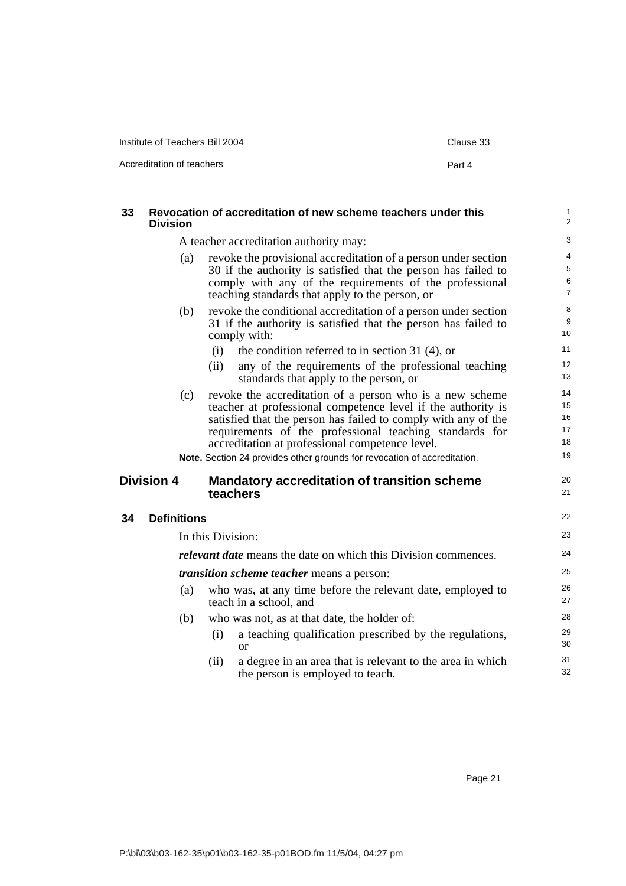| Institute of Teachers Bill 2004 | Clause 33 |
|---------------------------------|-----------|
| Accreditation of teachers       | Part 4    |

<span id="page-32-2"></span><span id="page-32-1"></span><span id="page-32-0"></span>

| 33 | <b>Division</b>    |                   | Revocation of accreditation of new scheme teachers under this                                                                                                                                                                                                                                            | 1<br>2                                     |
|----|--------------------|-------------------|----------------------------------------------------------------------------------------------------------------------------------------------------------------------------------------------------------------------------------------------------------------------------------------------------------|--------------------------------------------|
|    |                    |                   | A teacher accreditation authority may:                                                                                                                                                                                                                                                                   | 3                                          |
|    |                    | (a)               | revoke the provisional accreditation of a person under section<br>30 if the authority is satisfied that the person has failed to<br>comply with any of the requirements of the professional<br>teaching standards that apply to the person, or                                                           | $\overline{4}$<br>5<br>6<br>$\overline{7}$ |
|    |                    | (b)               | revoke the conditional accreditation of a person under section<br>31 if the authority is satisfied that the person has failed to<br>comply with:                                                                                                                                                         | 8<br>9<br>10                               |
|    |                    | (i)               | the condition referred to in section 31 $(4)$ , or                                                                                                                                                                                                                                                       | 11                                         |
|    |                    | (ii)              | any of the requirements of the professional teaching<br>standards that apply to the person, or                                                                                                                                                                                                           | 12<br>13                                   |
|    |                    | (c)               | revoke the accreditation of a person who is a new scheme<br>teacher at professional competence level if the authority is<br>satisfied that the person has failed to comply with any of the<br>requirements of the professional teaching standards for<br>accreditation at professional competence level. | 14<br>15<br>16<br>17<br>18<br>19           |
|    |                    |                   | Note. Section 24 provides other grounds for revocation of accreditation.                                                                                                                                                                                                                                 |                                            |
|    | <b>Division 4</b>  |                   | <b>Mandatory accreditation of transition scheme</b><br>teachers                                                                                                                                                                                                                                          | 20<br>21                                   |
| 34 | <b>Definitions</b> |                   |                                                                                                                                                                                                                                                                                                          | 22                                         |
|    |                    | In this Division: |                                                                                                                                                                                                                                                                                                          | 23                                         |
|    |                    |                   | <i>relevant date</i> means the date on which this Division commences.                                                                                                                                                                                                                                    | 24                                         |
|    |                    |                   | <i>transition scheme teacher</i> means a person:                                                                                                                                                                                                                                                         | 25                                         |
|    |                    | (a)               | who was, at any time before the relevant date, employed to<br>teach in a school, and                                                                                                                                                                                                                     | 26<br>27                                   |
|    |                    | (b)               | who was not, as at that date, the holder of:                                                                                                                                                                                                                                                             | 28                                         |
|    |                    | (i)               | a teaching qualification prescribed by the regulations,<br><b>or</b>                                                                                                                                                                                                                                     | 29<br>30                                   |
|    |                    | (ii)              | a degree in an area that is relevant to the area in which<br>the person is employed to teach.                                                                                                                                                                                                            | 31<br>32                                   |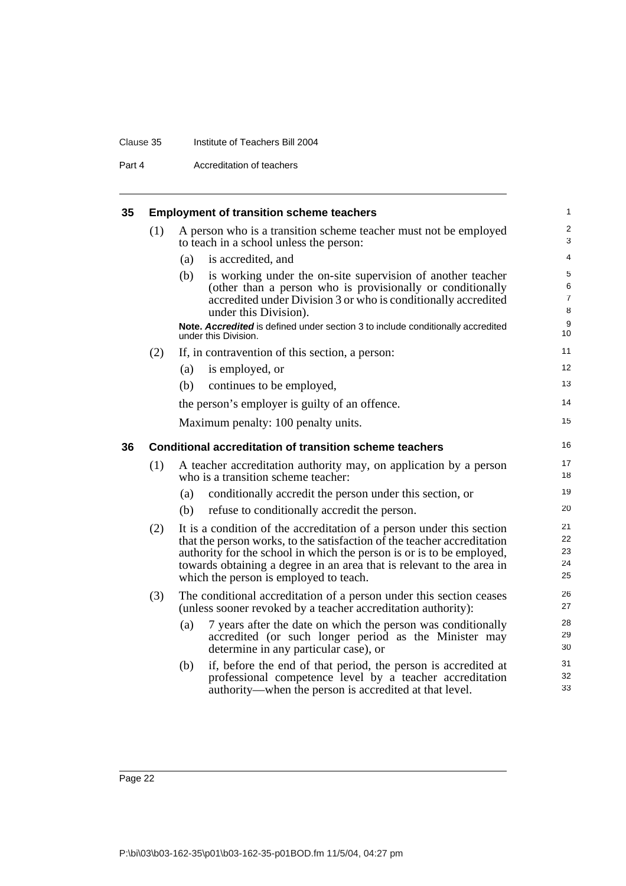#### Clause 35 Institute of Teachers Bill 2004

Part 4 **Accreditation of teachers** 

<span id="page-33-1"></span><span id="page-33-0"></span>

| 35 |     |     | <b>Employment of transition scheme teachers</b>                                                                                                                                                                                                                                                                                              | $\mathbf{1}$                  |
|----|-----|-----|----------------------------------------------------------------------------------------------------------------------------------------------------------------------------------------------------------------------------------------------------------------------------------------------------------------------------------------------|-------------------------------|
|    | (1) |     | A person who is a transition scheme teacher must not be employed<br>to teach in a school unless the person:                                                                                                                                                                                                                                  | 2<br>3                        |
|    |     | (a) | is accredited, and                                                                                                                                                                                                                                                                                                                           | $\overline{4}$                |
|    |     | (b) | is working under the on-site supervision of another teacher<br>(other than a person who is provisionally or conditionally<br>accredited under Division 3 or who is conditionally accredited<br>under this Division).                                                                                                                         | 5<br>6<br>$\overline{7}$<br>8 |
|    |     |     | Note. Accredited is defined under section 3 to include conditionally accredited<br>under this Division.                                                                                                                                                                                                                                      | 9<br>10                       |
|    | (2) |     | If, in contravention of this section, a person:                                                                                                                                                                                                                                                                                              | 11                            |
|    |     | (a) | is employed, or                                                                                                                                                                                                                                                                                                                              | 12                            |
|    |     | (b) | continues to be employed,                                                                                                                                                                                                                                                                                                                    | 13                            |
|    |     |     | the person's employer is guilty of an offence.                                                                                                                                                                                                                                                                                               | 14                            |
|    |     |     | Maximum penalty: 100 penalty units.                                                                                                                                                                                                                                                                                                          | 15                            |
| 36 |     |     | <b>Conditional accreditation of transition scheme teachers</b>                                                                                                                                                                                                                                                                               | 16                            |
|    | (1) |     | A teacher accreditation authority may, on application by a person<br>who is a transition scheme teacher:                                                                                                                                                                                                                                     | 17<br>18                      |
|    |     | (a) | conditionally accredit the person under this section, or                                                                                                                                                                                                                                                                                     | 19                            |
|    |     | (b) | refuse to conditionally accredit the person.                                                                                                                                                                                                                                                                                                 | 20                            |
|    | (2) |     | It is a condition of the accreditation of a person under this section<br>that the person works, to the satisfaction of the teacher accreditation<br>authority for the school in which the person is or is to be employed,<br>towards obtaining a degree in an area that is relevant to the area in<br>which the person is employed to teach. | 21<br>22<br>23<br>24<br>25    |
|    | (3) |     | The conditional accreditation of a person under this section ceases<br>(unless sooner revoked by a teacher accreditation authority):                                                                                                                                                                                                         | 26<br>27                      |
|    |     | (a) | 7 years after the date on which the person was conditionally<br>accredited (or such longer period as the Minister may<br>determine in any particular case), or                                                                                                                                                                               | 28<br>29<br>30                |
|    |     | (b) | if, before the end of that period, the person is accredited at<br>professional competence level by a teacher accreditation<br>authority—when the person is accredited at that level.                                                                                                                                                         | 31<br>32<br>33                |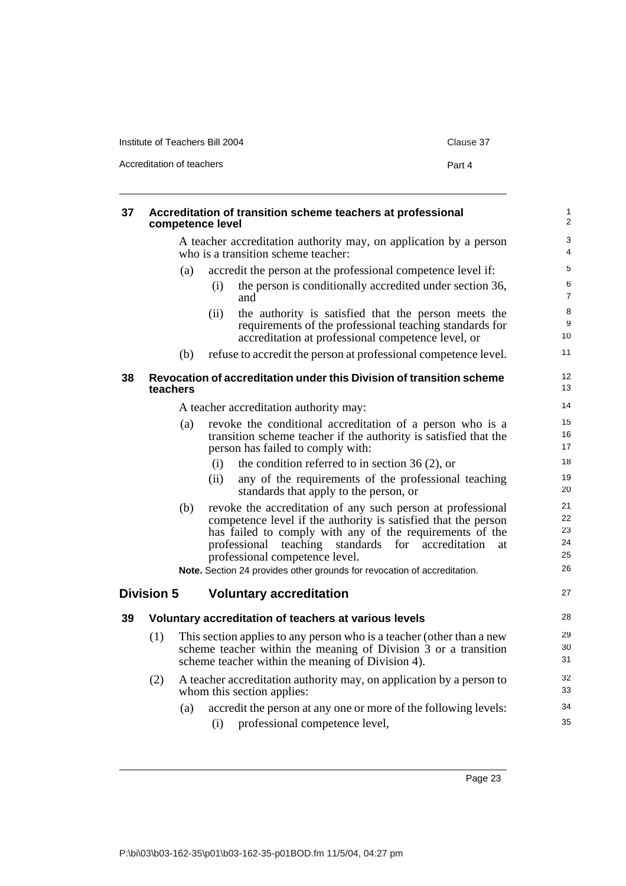| Institute of Teachers Bill 2004 | Clause 37 |
|---------------------------------|-----------|
| Accreditation of teachers       | Part 4    |
|                                 |           |

<span id="page-34-3"></span><span id="page-34-2"></span><span id="page-34-1"></span><span id="page-34-0"></span>

| 37 |                   |     | Accreditation of transition scheme teachers at professional<br>competence level                                                                                                                                                                                                        | 1<br>$\overline{2}$        |
|----|-------------------|-----|----------------------------------------------------------------------------------------------------------------------------------------------------------------------------------------------------------------------------------------------------------------------------------------|----------------------------|
|    |                   |     | A teacher accreditation authority may, on application by a person<br>who is a transition scheme teacher:                                                                                                                                                                               | 3<br>4                     |
|    |                   | (a) | accredit the person at the professional competence level if:                                                                                                                                                                                                                           | 5                          |
|    |                   |     | the person is conditionally accredited under section 36,<br>(i)<br>and                                                                                                                                                                                                                 | 6<br>$\overline{7}$        |
|    |                   |     | (ii)<br>the authority is satisfied that the person meets the<br>requirements of the professional teaching standards for<br>accreditation at professional competence level, or                                                                                                          | 8<br>9<br>10               |
|    |                   | (b) | refuse to accredit the person at professional competence level.                                                                                                                                                                                                                        | 11                         |
| 38 | teachers          |     | Revocation of accreditation under this Division of transition scheme                                                                                                                                                                                                                   | 12<br>13                   |
|    |                   |     | A teacher accreditation authority may:                                                                                                                                                                                                                                                 | 14                         |
|    |                   | (a) | revoke the conditional accreditation of a person who is a<br>transition scheme teacher if the authority is satisfied that the<br>person has failed to comply with:                                                                                                                     | 15<br>16<br>17             |
|    |                   |     | the condition referred to in section 36 $(2)$ , or<br>(i)                                                                                                                                                                                                                              | 18                         |
|    |                   |     | (ii)<br>any of the requirements of the professional teaching<br>standards that apply to the person, or                                                                                                                                                                                 | 19<br>20                   |
|    |                   | (b) | revoke the accreditation of any such person at professional<br>competence level if the authority is satisfied that the person<br>has failed to comply with any of the requirements of the<br>professional teaching standards for accreditation<br>at<br>professional competence level. | 21<br>22<br>23<br>24<br>25 |
|    |                   |     | Note. Section 24 provides other grounds for revocation of accreditation.                                                                                                                                                                                                               | 26                         |
|    | <b>Division 5</b> |     | <b>Voluntary accreditation</b>                                                                                                                                                                                                                                                         | 27                         |
| 39 |                   |     | Voluntary accreditation of teachers at various levels                                                                                                                                                                                                                                  | 28                         |
|    | (1)               |     | This section applies to any person who is a teacher (other than a new<br>scheme teacher within the meaning of Division 3 or a transition<br>scheme teacher within the meaning of Division 4).                                                                                          | 29<br>30<br>31             |
|    | (2)               |     | A teacher accreditation authority may, on application by a person to<br>whom this section applies:                                                                                                                                                                                     | 32<br>33                   |
|    |                   | (a) | accredit the person at any one or more of the following levels:<br>professional competence level,<br>(i)                                                                                                                                                                               | 34<br>35                   |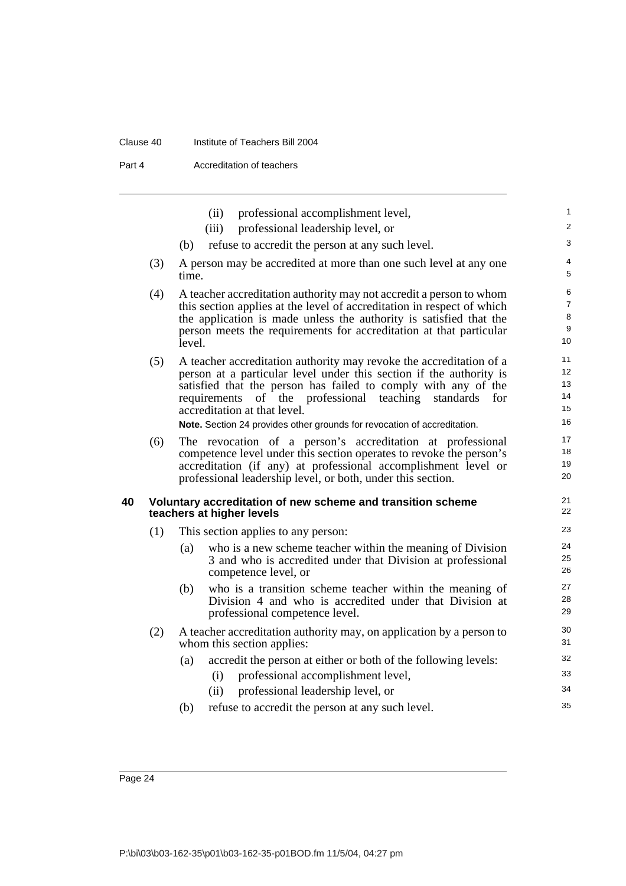#### Clause 40 Institute of Teachers Bill 2004

Part 4 Accreditation of teachers

<span id="page-35-0"></span>

|    |     | professional accomplishment level,<br>(ii)<br>professional leadership level, or<br>(iii)                                                                                                                                                                                                                                                                                               | $\mathbf{1}$<br>$\overline{2}$      |
|----|-----|----------------------------------------------------------------------------------------------------------------------------------------------------------------------------------------------------------------------------------------------------------------------------------------------------------------------------------------------------------------------------------------|-------------------------------------|
|    |     | (b)<br>refuse to accredit the person at any such level.                                                                                                                                                                                                                                                                                                                                | 3                                   |
|    | (3) | A person may be accredited at more than one such level at any one<br>time.                                                                                                                                                                                                                                                                                                             | 4<br>5                              |
|    | (4) | A teacher accreditation authority may not accredit a person to whom<br>this section applies at the level of accreditation in respect of which<br>the application is made unless the authority is satisfied that the<br>person meets the requirements for accreditation at that particular<br>level.                                                                                    | 6<br>$\overline{7}$<br>8<br>9<br>10 |
|    | (5) | A teacher accreditation authority may revoke the accreditation of a<br>person at a particular level under this section if the authority is<br>satisfied that the person has failed to comply with any of the<br>requirements of the professional teaching standards<br>for<br>accreditation at that level.<br>Note. Section 24 provides other grounds for revocation of accreditation. | 11<br>12<br>13<br>14<br>15<br>16    |
|    | (6) | The revocation of a person's accreditation at professional<br>competence level under this section operates to revoke the person's<br>accreditation (if any) at professional accomplishment level or<br>professional leadership level, or both, under this section.                                                                                                                     | 17<br>18<br>19<br>20                |
| 40 |     | Voluntary accreditation of new scheme and transition scheme<br>teachers at higher levels                                                                                                                                                                                                                                                                                               | 21<br>22                            |
|    | (1) | This section applies to any person:                                                                                                                                                                                                                                                                                                                                                    | 23                                  |
|    |     | who is a new scheme teacher within the meaning of Division<br>(a)<br>3 and who is accredited under that Division at professional<br>competence level, or                                                                                                                                                                                                                               | 24<br>25<br>26                      |
|    |     | (b)<br>who is a transition scheme teacher within the meaning of<br>Division 4 and who is accredited under that Division at<br>professional competence level.                                                                                                                                                                                                                           | 27<br>28<br>29                      |
|    | (2) | A teacher accreditation authority may, on application by a person to<br>whom this section applies:                                                                                                                                                                                                                                                                                     | 30<br>31                            |
|    |     | accredit the person at either or both of the following levels:<br>(a)                                                                                                                                                                                                                                                                                                                  | 32                                  |
|    |     | professional accomplishment level,<br>(i)                                                                                                                                                                                                                                                                                                                                              | 33                                  |
|    |     | (ii)<br>professional leadership level, or                                                                                                                                                                                                                                                                                                                                              | 34                                  |
|    |     | (b)<br>refuse to accredit the person at any such level.                                                                                                                                                                                                                                                                                                                                | 35                                  |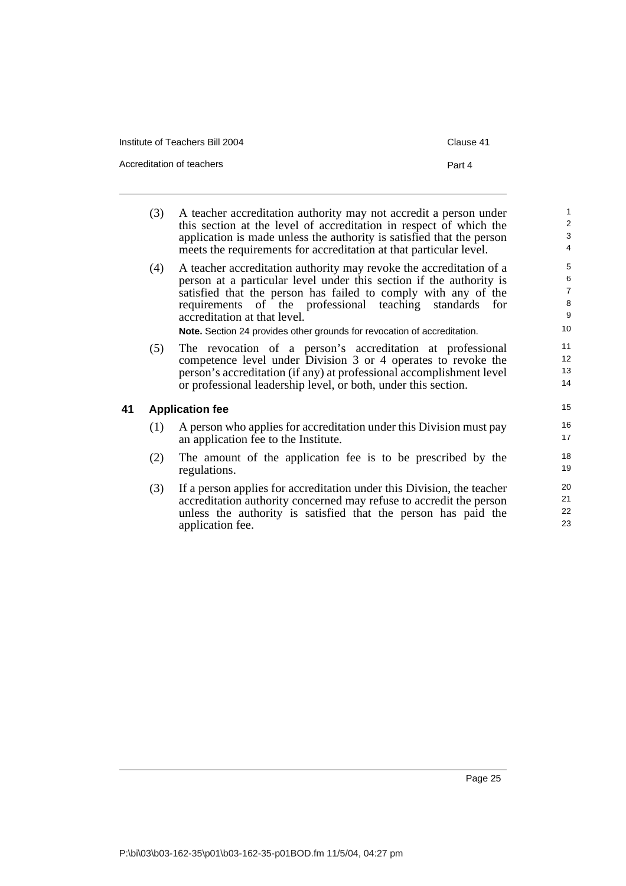Institute of Teachers Bill 2004 Clause 41

Accreditation of teachers

| . .<br>×<br>× |  |
|---------------|--|
|---------------|--|

- (3) A teacher accreditation authority may not accredit a person under this section at the level of accreditation in respect of which the application is made unless the authority is satisfied that the person meets the requirements for accreditation at that particular level.
- (4) A teacher accreditation authority may revoke the accreditation of a person at a particular level under this section if the authority is satisfied that the person has failed to comply with any of the requirements of the professional teaching standards for accreditation at that level. **Note.** Section 24 provides other grounds for revocation of accreditation.
- (5) The revocation of a person's accreditation at professional competence level under Division 3 or 4 operates to revoke the person's accreditation (if any) at professional accomplishment level or professional leadership level, or both, under this section.

#### <span id="page-36-0"></span>**41 Application fee**

- (1) A person who applies for accreditation under this Division must pay an application fee to the Institute.
- (2) The amount of the application fee is to be prescribed by the regulations.
- (3) If a person applies for accreditation under this Division, the teacher accreditation authority concerned may refuse to accredit the person unless the authority is satisfied that the person has paid the application fee.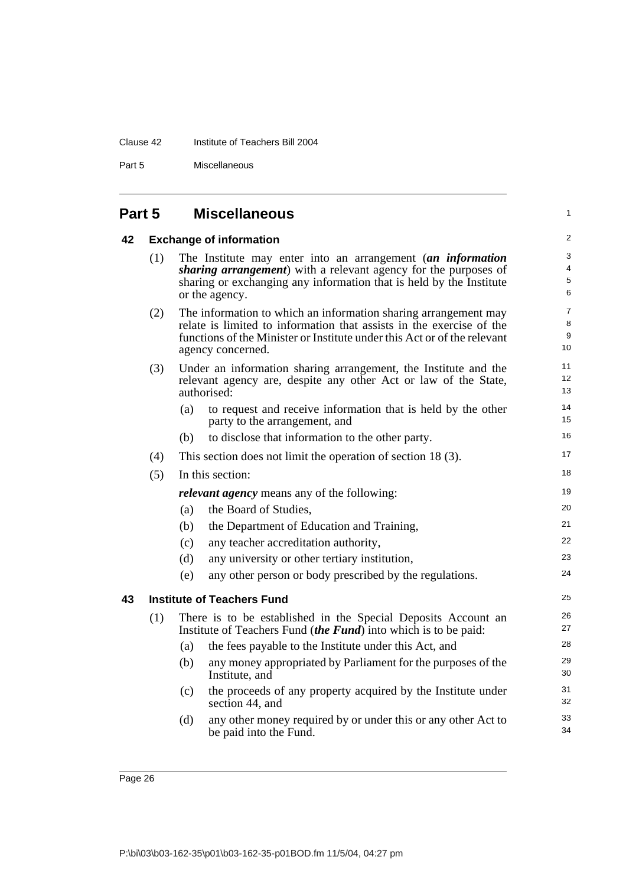#### Clause 42 Institute of Teachers Bill 2004

Part 5 Miscellaneous

<span id="page-37-0"></span>

| Part 5 | <b>Miscellaneous</b> |
|--------|----------------------|
|--------|----------------------|

#### <span id="page-37-1"></span>**42 Exchange of information**

(1) The Institute may enter into an arrangement (*an information sharing arrangement*) with a relevant agency for the purposes of sharing or exchanging any information that is held by the Institute or the agency.

1

- (2) The information to which an information sharing arrangement may relate is limited to information that assists in the exercise of the functions of the Minister or Institute under this Act or of the relevant agency concerned.
- (3) Under an information sharing arrangement, the Institute and the relevant agency are, despite any other Act or law of the State, authorised:
	- (a) to request and receive information that is held by the other party to the arrangement, and
- (b) to disclose that information to the other party. (4) This section does not limit the operation of section 18 (3). (5) In this section:

<span id="page-37-2"></span>

|    | (5) |     | In this section:                                                                                                                        | 18       |
|----|-----|-----|-----------------------------------------------------------------------------------------------------------------------------------------|----------|
|    |     |     | <i>relevant agency</i> means any of the following:                                                                                      | 19       |
|    |     | (a) | the Board of Studies,                                                                                                                   | 20       |
|    |     | (b) | the Department of Education and Training,                                                                                               | 21       |
|    |     | (c) | any teacher accreditation authority,                                                                                                    | 22       |
|    |     | (d) | any university or other tertiary institution,                                                                                           | 23       |
|    |     | (e) | any other person or body prescribed by the regulations.                                                                                 | 24       |
| 43 |     |     | <b>Institute of Teachers Fund</b>                                                                                                       | 25       |
|    | (1) |     | There is to be established in the Special Deposits Account an<br>Institute of Teachers Fund <i>(the Fund)</i> into which is to be paid: | 26<br>27 |
|    |     | (a) | the fees payable to the Institute under this Act, and                                                                                   | 28       |
|    |     | (b) | any money appropriated by Parliament for the purposes of the<br>Institute, and                                                          | 29<br>30 |
|    |     | (c) | the proceeds of any property acquired by the Institute under<br>section 44, and                                                         | 31<br>32 |
|    |     | (d) | any other money required by or under this or any other Act to<br>be paid into the Fund.                                                 | 33<br>34 |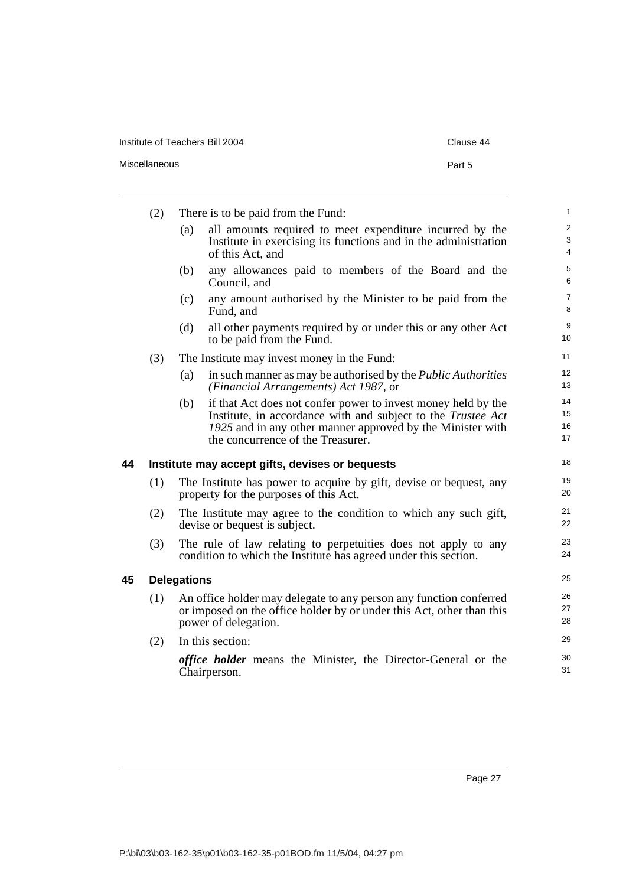Institute of Teachers Bill 2004 Clause 44

<span id="page-38-1"></span><span id="page-38-0"></span>

|    | (2) |                    | There is to be paid from the Fund:                                                                                                                                                                                               | 1                                 |
|----|-----|--------------------|----------------------------------------------------------------------------------------------------------------------------------------------------------------------------------------------------------------------------------|-----------------------------------|
|    |     | (a)                | all amounts required to meet expenditure incurred by the<br>Institute in exercising its functions and in the administration<br>of this Act, and                                                                                  | $\overline{\mathbf{c}}$<br>3<br>4 |
|    |     | (b)                | any allowances paid to members of the Board and the<br>Council, and                                                                                                                                                              | 5<br>6                            |
|    |     | (c)                | any amount authorised by the Minister to be paid from the<br>Fund, and                                                                                                                                                           | 7<br>8                            |
|    |     | (d)                | all other payments required by or under this or any other Act<br>to be paid from the Fund.                                                                                                                                       | 9<br>10                           |
|    | (3) |                    | The Institute may invest money in the Fund:                                                                                                                                                                                      | 11                                |
|    |     | (a)                | in such manner as may be authorised by the <i>Public Authorities</i><br>(Financial Arrangements) Act 1987, or                                                                                                                    | 12<br>13                          |
|    |     | (b)                | if that Act does not confer power to invest money held by the<br>Institute, in accordance with and subject to the Trustee Act<br>1925 and in any other manner approved by the Minister with<br>the concurrence of the Treasurer. | 14<br>15<br>16<br>17              |
| 44 |     |                    | Institute may accept gifts, devises or bequests                                                                                                                                                                                  | 18                                |
|    | (1) |                    | The Institute has power to acquire by gift, devise or bequest, any<br>property for the purposes of this Act.                                                                                                                     | 19<br>20                          |
|    | (2) |                    | The Institute may agree to the condition to which any such gift,<br>devise or bequest is subject.                                                                                                                                | 21<br>22                          |
|    | (3) |                    | The rule of law relating to perpetuities does not apply to any<br>condition to which the Institute has agreed under this section.                                                                                                | 23<br>24                          |
| 45 |     | <b>Delegations</b> |                                                                                                                                                                                                                                  | 25                                |
|    | (1) |                    | An office holder may delegate to any person any function conferred<br>or imposed on the office holder by or under this Act, other than this<br>power of delegation.                                                              | 26<br>27<br>28                    |
|    | (2) |                    | In this section:                                                                                                                                                                                                                 | 29                                |
|    |     |                    | <i>office holder</i> means the Minister, the Director-General or the<br>Chairperson.                                                                                                                                             | 30<br>31                          |
|    |     |                    |                                                                                                                                                                                                                                  |                                   |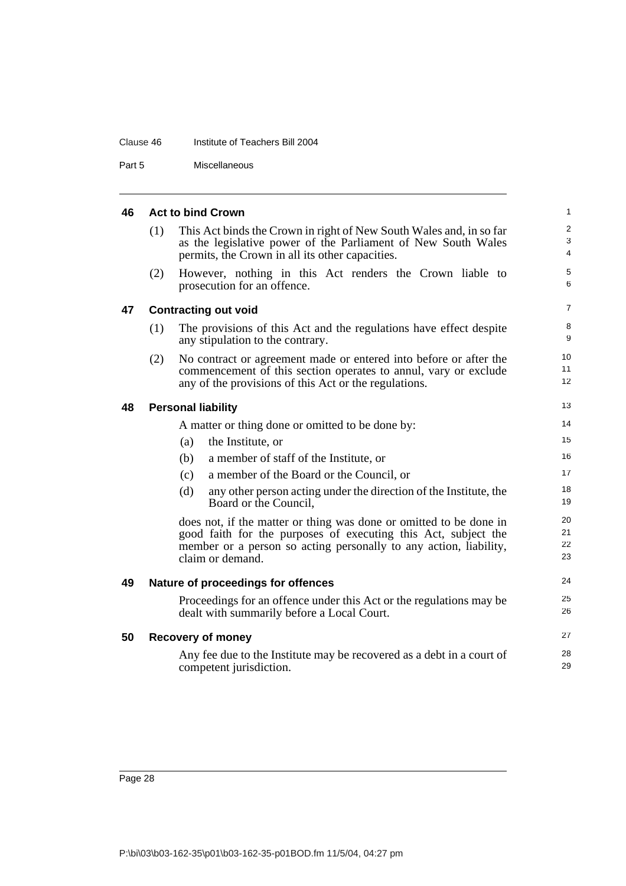#### Clause 46 Institute of Teachers Bill 2004

Part 5 Miscellaneous

<span id="page-39-4"></span><span id="page-39-3"></span><span id="page-39-2"></span><span id="page-39-1"></span><span id="page-39-0"></span>

| 46 |     | <b>Act to bind Crown</b>                                                                                                             | $\mathbf{1}$   |
|----|-----|--------------------------------------------------------------------------------------------------------------------------------------|----------------|
|    | (1) | This Act binds the Crown in right of New South Wales and, in so far<br>as the legislative power of the Parliament of New South Wales | 2<br>3         |
|    |     | permits, the Crown in all its other capacities.                                                                                      | $\overline{4}$ |
|    | (2) | However, nothing in this Act renders the Crown liable to<br>prosecution for an offence.                                              | 5<br>6         |
| 47 |     | <b>Contracting out void</b>                                                                                                          | 7              |
|    | (1) | The provisions of this Act and the regulations have effect despite<br>any stipulation to the contrary.                               | 8<br>9         |
|    | (2) | No contract or agreement made or entered into before or after the<br>commencement of this section operates to annul, vary or exclude | 10<br>11       |
|    |     | any of the provisions of this Act or the regulations.                                                                                | 12             |
| 48 |     | <b>Personal liability</b>                                                                                                            | 13             |
|    |     | A matter or thing done or omitted to be done by:                                                                                     | 14             |
|    |     | the Institute, or<br>(a)                                                                                                             | 15             |
|    |     | a member of staff of the Institute, or<br>(b)                                                                                        | 16             |
|    |     | a member of the Board or the Council, or<br>(c)                                                                                      | 17             |
|    |     | any other person acting under the direction of the Institute, the<br>(d)<br>Board or the Council,                                    | 18<br>19       |
|    |     | does not, if the matter or thing was done or omitted to be done in                                                                   | 20             |
|    |     | good faith for the purposes of executing this Act, subject the<br>member or a person so acting personally to any action, liability,  | 21<br>22       |
|    |     | claim or demand.                                                                                                                     | 23             |
| 49 |     | Nature of proceedings for offences                                                                                                   | 24             |
|    |     | Proceedings for an offence under this Act or the regulations may be<br>dealt with summarily before a Local Court.                    | 25<br>26       |
| 50 |     | <b>Recovery of money</b>                                                                                                             | 27             |
|    |     | Any fee due to the Institute may be recovered as a debt in a court of<br>competent jurisdiction.                                     | 28<br>29       |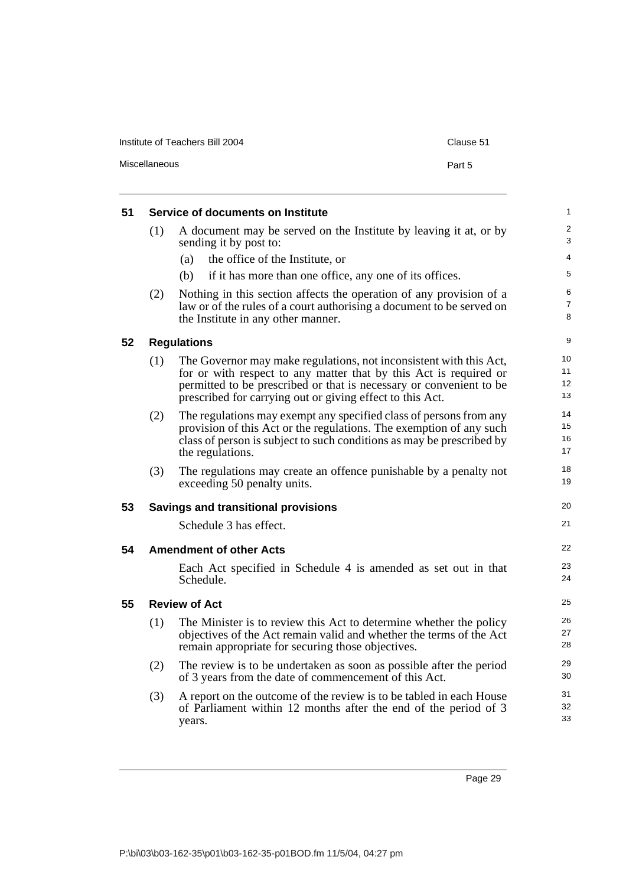| Institute of Teachers Bill 2004 | Clause 51 |
|---------------------------------|-----------|
| <b>Miscellaneous</b>            | Part 5    |

<span id="page-40-4"></span><span id="page-40-3"></span><span id="page-40-2"></span><span id="page-40-1"></span><span id="page-40-0"></span>

| 51 | Service of documents on Institute                                                                                                                                                                                                                                                  |                                                                                                                                                                                                                                        |                          |  |  |  |
|----|------------------------------------------------------------------------------------------------------------------------------------------------------------------------------------------------------------------------------------------------------------------------------------|----------------------------------------------------------------------------------------------------------------------------------------------------------------------------------------------------------------------------------------|--------------------------|--|--|--|
|    | (1)                                                                                                                                                                                                                                                                                | A document may be served on the Institute by leaving it at, or by<br>sending it by post to:                                                                                                                                            | $\overline{c}$<br>3      |  |  |  |
|    |                                                                                                                                                                                                                                                                                    | the office of the Institute, or<br>(a)                                                                                                                                                                                                 | 4                        |  |  |  |
|    |                                                                                                                                                                                                                                                                                    | (b)<br>if it has more than one office, any one of its offices.                                                                                                                                                                         | 5                        |  |  |  |
|    | (2)                                                                                                                                                                                                                                                                                | Nothing in this section affects the operation of any provision of a<br>law or of the rules of a court authorising a document to be served on<br>the Institute in any other manner.                                                     | 6<br>$\overline{7}$<br>8 |  |  |  |
| 52 |                                                                                                                                                                                                                                                                                    | <b>Regulations</b>                                                                                                                                                                                                                     | 9                        |  |  |  |
|    | The Governor may make regulations, not inconsistent with this Act,<br>(1)<br>for or with respect to any matter that by this Act is required or<br>permitted to be prescribed or that is necessary or convenient to be<br>prescribed for carrying out or giving effect to this Act. |                                                                                                                                                                                                                                        | 10<br>11<br>12<br>13     |  |  |  |
|    | (2)                                                                                                                                                                                                                                                                                | The regulations may exempt any specified class of persons from any<br>provision of this Act or the regulations. The exemption of any such<br>class of person is subject to such conditions as may be prescribed by<br>the regulations. | 14<br>15<br>16<br>17     |  |  |  |
|    | (3)                                                                                                                                                                                                                                                                                | The regulations may create an offence punishable by a penalty not<br>exceeding 50 penalty units.                                                                                                                                       | 18<br>19                 |  |  |  |
| 53 |                                                                                                                                                                                                                                                                                    | <b>Savings and transitional provisions</b>                                                                                                                                                                                             | 20                       |  |  |  |
|    |                                                                                                                                                                                                                                                                                    | Schedule 3 has effect.                                                                                                                                                                                                                 | 21                       |  |  |  |
| 54 |                                                                                                                                                                                                                                                                                    | <b>Amendment of other Acts</b>                                                                                                                                                                                                         | 22                       |  |  |  |
|    |                                                                                                                                                                                                                                                                                    | Each Act specified in Schedule 4 is amended as set out in that<br>Schedule.                                                                                                                                                            | 23<br>24                 |  |  |  |
| 55 |                                                                                                                                                                                                                                                                                    | <b>Review of Act</b>                                                                                                                                                                                                                   | 25                       |  |  |  |
|    | (1)                                                                                                                                                                                                                                                                                | The Minister is to review this Act to determine whether the policy<br>objectives of the Act remain valid and whether the terms of the Act<br>remain appropriate for securing those objectives.                                         | 26<br>27<br>28           |  |  |  |
|    | (2)                                                                                                                                                                                                                                                                                | The review is to be undertaken as soon as possible after the period<br>of 3 years from the date of commencement of this Act.                                                                                                           | 29<br>30                 |  |  |  |
|    | (3)                                                                                                                                                                                                                                                                                | A report on the outcome of the review is to be tabled in each House<br>of Parliament within 12 months after the end of the period of 3<br>years.                                                                                       | 31<br>32<br>33           |  |  |  |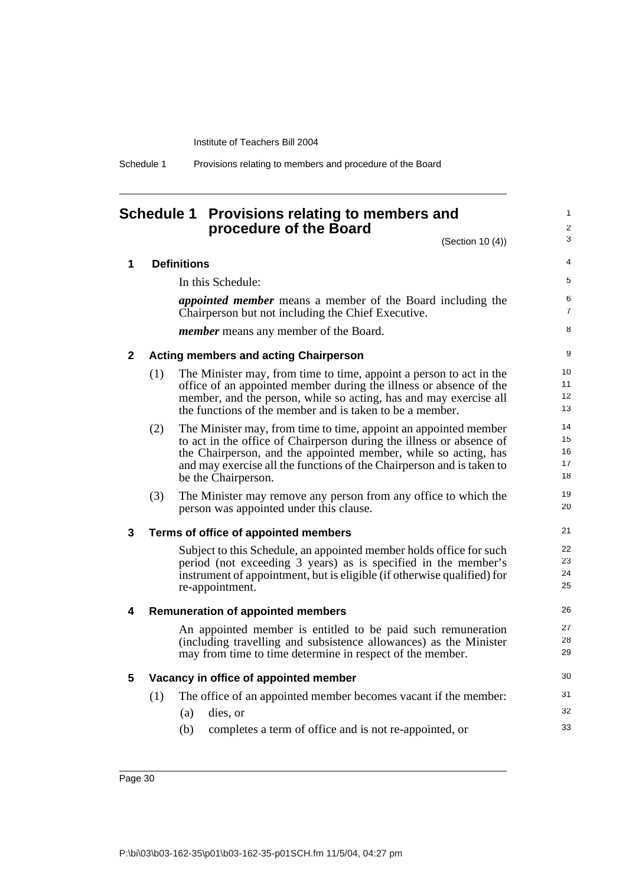Schedule 1 Provisions relating to members and procedure of the Board

## <span id="page-41-0"></span>**Schedule 1 Provisions relating to members and procedure of the Board**

(Section 10 (4))

1 2 3

| 1 |     | <b>Definitions</b>                                                                                                                                                                                                                                                                                          | 4                          |
|---|-----|-------------------------------------------------------------------------------------------------------------------------------------------------------------------------------------------------------------------------------------------------------------------------------------------------------------|----------------------------|
|   |     | In this Schedule:                                                                                                                                                                                                                                                                                           | 5                          |
|   |     | <i>appointed member</i> means a member of the Board including the<br>Chairperson but not including the Chief Executive.                                                                                                                                                                                     | 6<br>$\overline{7}$        |
|   |     | <i>member</i> means any member of the Board.                                                                                                                                                                                                                                                                | 8                          |
| 2 |     | <b>Acting members and acting Chairperson</b>                                                                                                                                                                                                                                                                | 9                          |
|   | (1) | The Minister may, from time to time, appoint a person to act in the<br>office of an appointed member during the illness or absence of the<br>member, and the person, while so acting, has and may exercise all<br>the functions of the member and is taken to be a member.                                  | 10<br>11<br>12<br>13       |
|   | (2) | The Minister may, from time to time, appoint an appointed member<br>to act in the office of Chairperson during the illness or absence of<br>the Chairperson, and the appointed member, while so acting, has<br>and may exercise all the functions of the Chairperson and is taken to<br>be the Chairperson. | 14<br>15<br>16<br>17<br>18 |
|   | (3) | The Minister may remove any person from any office to which the<br>person was appointed under this clause.                                                                                                                                                                                                  | 19<br>20                   |
| 3 |     | Terms of office of appointed members                                                                                                                                                                                                                                                                        | 21                         |
|   |     | Subject to this Schedule, an appointed member holds office for such<br>period (not exceeding 3 years) as is specified in the member's<br>instrument of appointment, but is eligible (if otherwise qualified) for<br>re-appointment.                                                                         | 22<br>23<br>24<br>25       |
| 4 |     | <b>Remuneration of appointed members</b>                                                                                                                                                                                                                                                                    | 26                         |
|   |     | An appointed member is entitled to be paid such remuneration<br>(including travelling and subsistence allowances) as the Minister<br>may from time to time determine in respect of the member.                                                                                                              | 27<br>28<br>29             |
| 5 |     | Vacancy in office of appointed member                                                                                                                                                                                                                                                                       | 30                         |
|   | (1) | The office of an appointed member becomes vacant if the member:                                                                                                                                                                                                                                             | 31                         |
|   |     | dies, or<br>(a)                                                                                                                                                                                                                                                                                             | 32                         |
|   |     | completes a term of office and is not re-appointed, or<br>(b)                                                                                                                                                                                                                                               | 33                         |
|   |     |                                                                                                                                                                                                                                                                                                             |                            |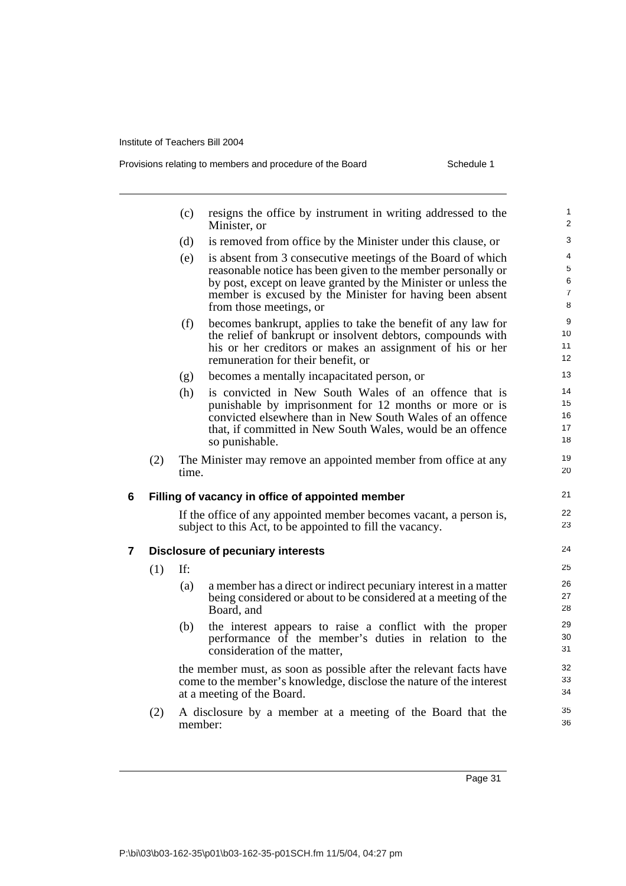|   |     | (c)   | resigns the office by instrument in writing addressed to the<br>Minister, or                                                                                                                                                                                                         | $\mathbf{1}$<br>$\overline{2}$         |
|---|-----|-------|--------------------------------------------------------------------------------------------------------------------------------------------------------------------------------------------------------------------------------------------------------------------------------------|----------------------------------------|
|   |     | (d)   | is removed from office by the Minister under this clause, or                                                                                                                                                                                                                         | 3                                      |
|   |     | (e)   | is absent from 3 consecutive meetings of the Board of which<br>reasonable notice has been given to the member personally or<br>by post, except on leave granted by the Minister or unless the<br>member is excused by the Minister for having been absent<br>from those meetings, or | 4<br>5<br>$\,6$<br>$\overline{7}$<br>8 |
|   |     | (f)   | becomes bankrupt, applies to take the benefit of any law for<br>the relief of bankrupt or insolvent debtors, compounds with<br>his or her creditors or makes an assignment of his or her<br>remuneration for their benefit, or                                                       | 9<br>10<br>11<br>12                    |
|   |     | (g)   | becomes a mentally incapacitated person, or                                                                                                                                                                                                                                          | 13                                     |
|   |     | (h)   | is convicted in New South Wales of an offence that is<br>punishable by imprisonment for 12 months or more or is<br>convicted elsewhere than in New South Wales of an offence<br>that, if committed in New South Wales, would be an offence<br>so punishable.                         | 14<br>15<br>16<br>17<br>18             |
|   | (2) | time. | The Minister may remove an appointed member from office at any                                                                                                                                                                                                                       | 19<br>20                               |
| 6 |     |       | Filling of vacancy in office of appointed member                                                                                                                                                                                                                                     | 21                                     |
|   |     |       | If the office of any appointed member becomes vacant, a person is,<br>subject to this Act, to be appointed to fill the vacancy.                                                                                                                                                      | 22<br>23                               |
| 7 |     |       | <b>Disclosure of pecuniary interests</b>                                                                                                                                                                                                                                             | 24                                     |
|   | (1) | If:   |                                                                                                                                                                                                                                                                                      | 25                                     |
|   |     | (a)   | a member has a direct or indirect pecuniary interest in a matter<br>being considered or about to be considered at a meeting of the<br>Board, and                                                                                                                                     | 26<br>27<br>28                         |
|   |     | (b)   | the interest appears to raise a conflict with the proper<br>performance of the member's duties in relation to the<br>consideration of the matter,                                                                                                                                    | 29<br>30<br>31                         |
|   |     |       | the member must, as soon as possible after the relevant facts have<br>come to the member's knowledge, disclose the nature of the interest<br>at a meeting of the Board.                                                                                                              | 32<br>33<br>34                         |
|   | (2) |       | A disclosure by a member at a meeting of the Board that the                                                                                                                                                                                                                          | 35                                     |

(2) A disclosure by a member at a meeting of the Board that the member:

Page 31

36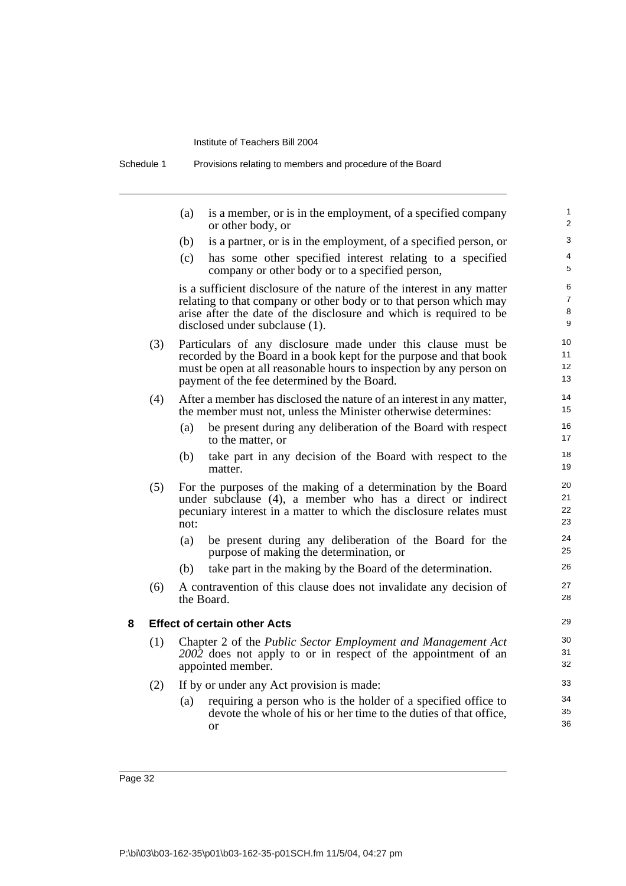| is a member, or is in the employment, of a specified company                                                                                                                                        | 1                    |
|-----------------------------------------------------------------------------------------------------------------------------------------------------------------------------------------------------|----------------------|
| or other body, or                                                                                                                                                                                   | 2                    |
| is a partner, or is in the employment, of a specified person, or                                                                                                                                    | 3                    |
| has some other specified interest relating to a specified                                                                                                                                           | 4                    |
| company or other body or to a specified person,                                                                                                                                                     | 5                    |
| is a sufficient disclosure of the nature of the interest in any matter                                                                                                                              | 6                    |
| relating to that company or other body or to that person which may                                                                                                                                  | $\overline{7}$       |
| arise after the date of the disclosure and which is required to be                                                                                                                                  | $\,8\,$              |
| disclosed under subclause (1).                                                                                                                                                                      | 9                    |
| Particulars of any disclosure made under this clause must be                                                                                                                                        | 10                   |
| recorded by the Board in a book kept for the purpose and that book                                                                                                                                  | 11                   |
| must be open at all reasonable hours to inspection by any person on                                                                                                                                 | 12                   |
| payment of the fee determined by the Board.                                                                                                                                                         | 13                   |
| After a member has disclosed the nature of an interest in any matter,                                                                                                                               | 14                   |
| the member must not, unless the Minister otherwise determines:                                                                                                                                      | 15                   |
| be present during any deliberation of the Board with respect                                                                                                                                        | 16                   |
| to the matter, or                                                                                                                                                                                   | 17                   |
| take part in any decision of the Board with respect to the                                                                                                                                          | 18                   |
| matter.                                                                                                                                                                                             | 19                   |
| For the purposes of the making of a determination by the Board<br>under subclause (4), a member who has a direct or indirect<br>pecuniary interest in a matter to which the disclosure relates must | 20<br>21<br>22<br>23 |
| be present during any deliberation of the Board for the                                                                                                                                             | 24                   |
| purpose of making the determination, or                                                                                                                                                             | 25                   |
| take part in the making by the Board of the determination.                                                                                                                                          | 26                   |
| A contravention of this clause does not invalidate any decision of                                                                                                                                  | 27                   |
| the Board.                                                                                                                                                                                          | 28                   |
| <b>Effect of certain other Acts</b>                                                                                                                                                                 | 29                   |
| Chapter 2 of the Public Sector Employment and Management Act                                                                                                                                        | 30                   |
| 2002 does not apply to or in respect of the appointment of an                                                                                                                                       | 31                   |
| appointed member.                                                                                                                                                                                   | 32                   |
| If by or under any Act provision is made:                                                                                                                                                           | 33                   |
| requiring a person who is the holder of a specified office to                                                                                                                                       | 34                   |
| devote the whole of his or her time to the duties of that office,                                                                                                                                   | 35                   |
| or                                                                                                                                                                                                  | 36                   |
|                                                                                                                                                                                                     |                      |

Schedule 1 Provisions relating to members and procedure of the Board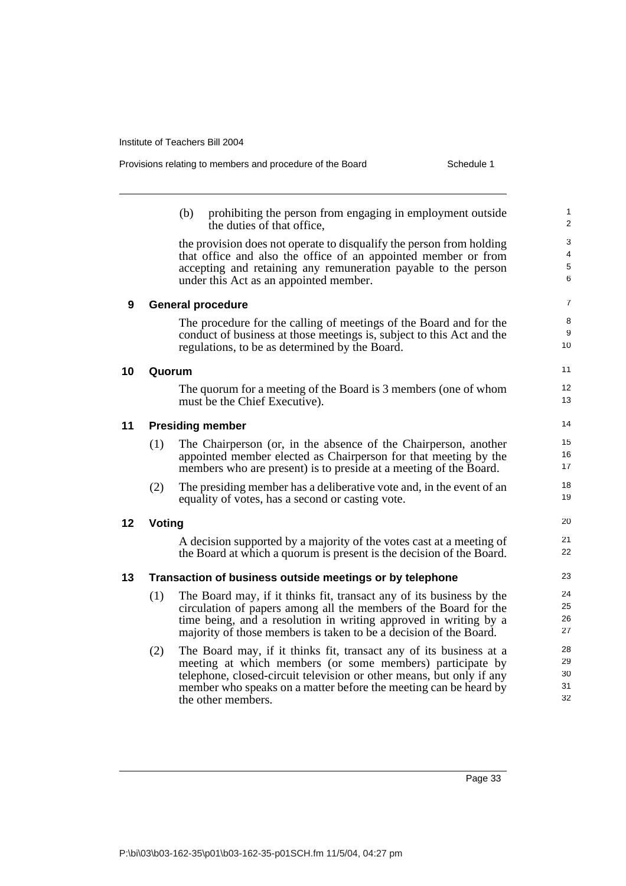|    |               | <b>INSULTURE OF FRACTIBLE DILTZUO4</b>                                                                                                                                                                                                                                                            |                            |
|----|---------------|---------------------------------------------------------------------------------------------------------------------------------------------------------------------------------------------------------------------------------------------------------------------------------------------------|----------------------------|
|    |               | Provisions relating to members and procedure of the Board<br>Schedule 1                                                                                                                                                                                                                           |                            |
|    |               | (b)<br>prohibiting the person from engaging in employment outside<br>the duties of that office,                                                                                                                                                                                                   | $\mathbf{1}$<br>2          |
|    |               | the provision does not operate to disqualify the person from holding<br>that office and also the office of an appointed member or from<br>accepting and retaining any remuneration payable to the person<br>under this Act as an appointed member.                                                | 3<br>4<br>5<br>6           |
| 9  |               | <b>General procedure</b>                                                                                                                                                                                                                                                                          | 7                          |
|    |               | The procedure for the calling of meetings of the Board and for the<br>conduct of business at those meetings is, subject to this Act and the<br>regulations, to be as determined by the Board.                                                                                                     | 8<br>9<br>10               |
| 10 | Quorum        |                                                                                                                                                                                                                                                                                                   | 11                         |
|    |               | The quorum for a meeting of the Board is 3 members (one of whom<br>must be the Chief Executive).                                                                                                                                                                                                  | 12<br>13                   |
| 11 |               | <b>Presiding member</b>                                                                                                                                                                                                                                                                           | 14                         |
|    | (1)           | The Chairperson (or, in the absence of the Chairperson, another<br>appointed member elected as Chairperson for that meeting by the<br>members who are present) is to preside at a meeting of the Board.                                                                                           | 15<br>16<br>17             |
|    | (2)           | The presiding member has a deliberative vote and, in the event of an<br>equality of votes, has a second or casting vote.                                                                                                                                                                          | 18<br>19                   |
| 12 | <b>Voting</b> |                                                                                                                                                                                                                                                                                                   | 20                         |
|    |               | A decision supported by a majority of the votes cast at a meeting of<br>the Board at which a quorum is present is the decision of the Board.                                                                                                                                                      | 21<br>22                   |
| 13 |               | Transaction of business outside meetings or by telephone                                                                                                                                                                                                                                          | 23                         |
|    | (1)           | The Board may, if it thinks fit, transact any of its business by the<br>circulation of papers among all the members of the Board for the<br>time being, and a resolution in writing approved in writing by a<br>majority of those members is taken to be a decision of the Board.                 | 24<br>25<br>26<br>27       |
|    | (2)           | The Board may, if it thinks fit, transact any of its business at a<br>meeting at which members (or some members) participate by<br>telephone, closed-circuit television or other means, but only if any<br>member who speaks on a matter before the meeting can be heard by<br>the other members. | 28<br>29<br>30<br>31<br>32 |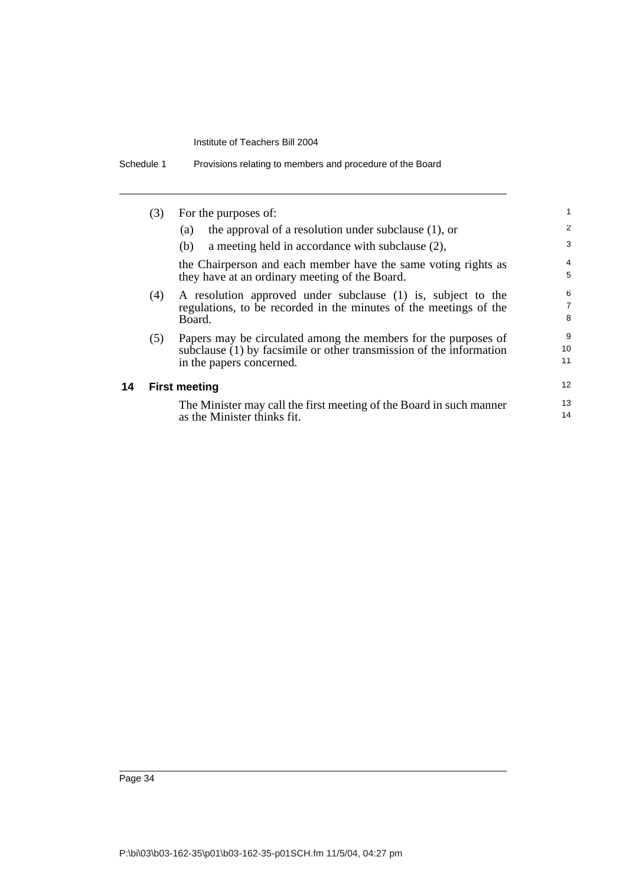Schedule 1 Provisions relating to members and procedure of the Board

|    | (3) | For the purposes of:                                                                                                                                                | 1                        |
|----|-----|---------------------------------------------------------------------------------------------------------------------------------------------------------------------|--------------------------|
|    |     | the approval of a resolution under subclause $(1)$ , or<br>(a)                                                                                                      | 2                        |
|    |     | a meeting held in accordance with subclause (2),<br>(b)                                                                                                             | 3                        |
|    |     | the Chairperson and each member have the same voting rights as<br>they have at an ordinary meeting of the Board.                                                    | $\overline{4}$<br>5      |
|    | (4) | A resolution approved under subclause (1) is, subject to the<br>regulations, to be recorded in the minutes of the meetings of the<br>Board.                         | 6<br>$\overline{7}$<br>8 |
|    | (5) | Papers may be circulated among the members for the purposes of<br>subclause $(1)$ by facsimile or other transmission of the information<br>in the papers concerned. | 9<br>10<br>11            |
| 14 |     | <b>First meeting</b>                                                                                                                                                | 12                       |
|    |     | The Minister may call the first meeting of the Board in such manner<br>as the Minister thinks fit.                                                                  | 13<br>14                 |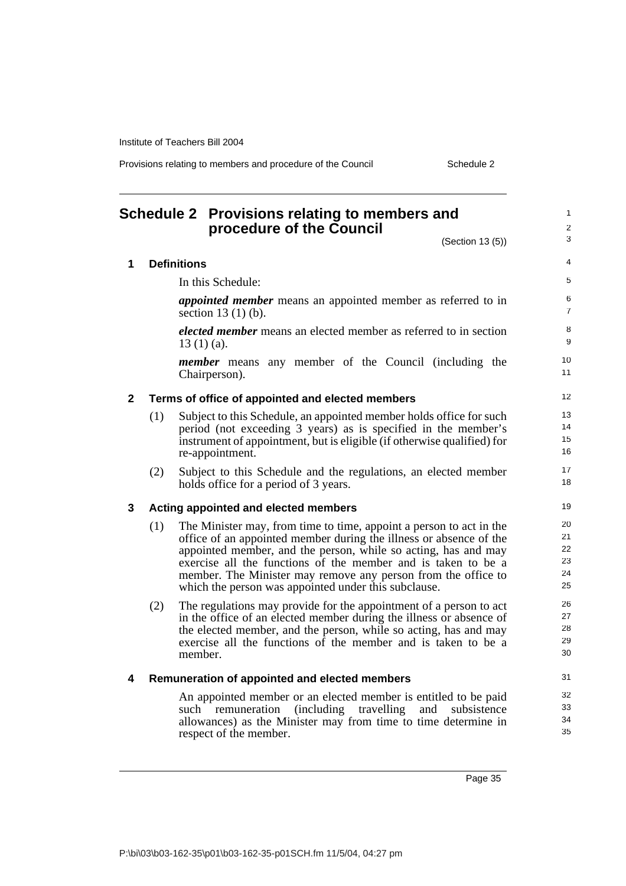Provisions relating to members and procedure of the Council Schedule 2

#### <span id="page-46-0"></span>**Schedule 2 Provisions relating to members and procedure of the Council** (Section 13 (5)) **1 Definitions** In this Schedule: *appointed member* means an appointed member as referred to in section 13 (1) (b). *elected member* means an elected member as referred to in section 13 (1) (a). *member* means any member of the Council (including the Chairperson). **2 Terms of office of appointed and elected members** (1) Subject to this Schedule, an appointed member holds office for such period (not exceeding 3 years) as is specified in the member's instrument of appointment, but is eligible (if otherwise qualified) for re-appointment. (2) Subject to this Schedule and the regulations, an elected member holds office for a period of 3 years. **3 Acting appointed and elected members** (1) The Minister may, from time to time, appoint a person to act in the office of an appointed member during the illness or absence of the appointed member, and the person, while so acting, has and may exercise all the functions of the member and is taken to be a member. The Minister may remove any person from the office to which the person was appointed under this subclause. (2) The regulations may provide for the appointment of a person to act in the office of an elected member during the illness or absence of the elected member, and the person, while so acting, has and may exercise all the functions of the member and is taken to be a member. **4 Remuneration of appointed and elected members** An appointed member or an elected member is entitled to be paid such remuneration (including travelling and subsistence allowances) as the Minister may from time to time determine in respect of the member. 1  $\mathfrak{p}$ 3 4 5 6 7 8 9 10 11 12 13 14 15 16 17 18 19 20 21 22 23 24 25 26 27 28 29 30 31 32 33 34 35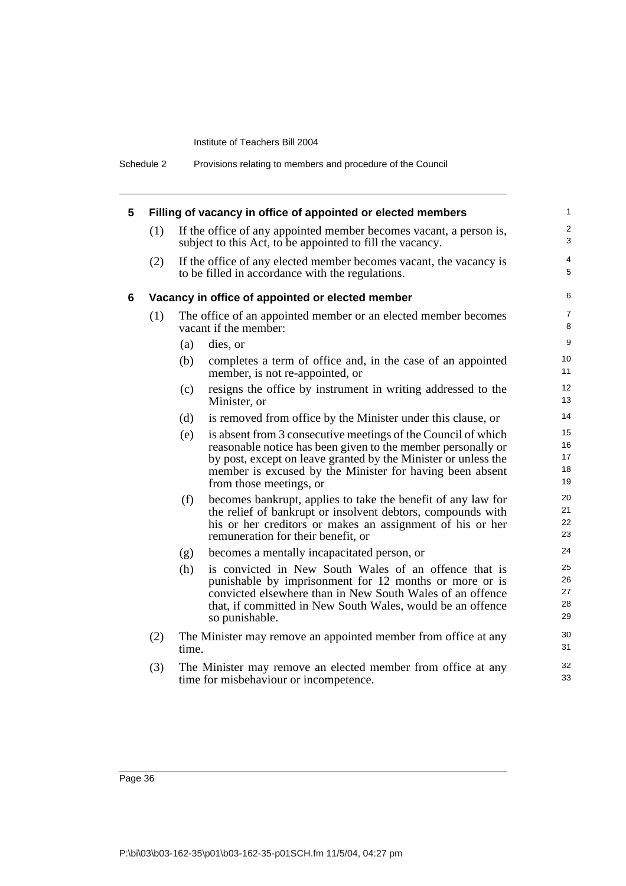| 5 |                                                                                                                               |       | Filling of vacancy in office of appointed or elected members                                                                                                                                                                                                 | $\mathbf{1}$               |
|---|-------------------------------------------------------------------------------------------------------------------------------|-------|--------------------------------------------------------------------------------------------------------------------------------------------------------------------------------------------------------------------------------------------------------------|----------------------------|
|   | (1)                                                                                                                           |       | If the office of any appointed member becomes vacant, a person is,<br>subject to this Act, to be appointed to fill the vacancy.                                                                                                                              | $\sqrt{2}$<br>3            |
|   | If the office of any elected member becomes vacant, the vacancy is<br>(2)<br>to be filled in accordance with the regulations. |       |                                                                                                                                                                                                                                                              |                            |
| 6 |                                                                                                                               |       | Vacancy in office of appointed or elected member                                                                                                                                                                                                             | 6                          |
|   | (1)                                                                                                                           |       | The office of an appointed member or an elected member becomes<br>vacant if the member:                                                                                                                                                                      | $\overline{7}$<br>8        |
|   |                                                                                                                               | (a)   | dies, or                                                                                                                                                                                                                                                     | 9                          |
|   |                                                                                                                               | (b)   | completes a term of office and, in the case of an appointed<br>member, is not re-appointed, or                                                                                                                                                               | 10<br>11                   |
|   |                                                                                                                               | (c)   | resigns the office by instrument in writing addressed to the<br>Minister, or                                                                                                                                                                                 | 12<br>13                   |
|   |                                                                                                                               | (d)   | is removed from office by the Minister under this clause, or                                                                                                                                                                                                 | 14                         |
|   |                                                                                                                               | (e)   | is absent from 3 consecutive meetings of the Council of which<br>reasonable notice has been given to the member personally or                                                                                                                                | 15<br>16                   |
|   |                                                                                                                               |       | by post, except on leave granted by the Minister or unless the<br>member is excused by the Minister for having been absent<br>from those meetings, or                                                                                                        | 17<br>18<br>19             |
|   |                                                                                                                               | (f)   | becomes bankrupt, applies to take the benefit of any law for<br>the relief of bankrupt or insolvent debtors, compounds with<br>his or her creditors or makes an assignment of his or her<br>remuneration for their benefit, or                               | 20<br>21<br>22<br>23       |
|   |                                                                                                                               | (g)   | becomes a mentally incapacitated person, or                                                                                                                                                                                                                  | 24                         |
|   |                                                                                                                               | (h)   | is convicted in New South Wales of an offence that is<br>punishable by imprisonment for 12 months or more or is<br>convicted elsewhere than in New South Wales of an offence<br>that, if committed in New South Wales, would be an offence<br>so punishable. | 25<br>26<br>27<br>28<br>29 |
|   | (2)                                                                                                                           | time. | The Minister may remove an appointed member from office at any                                                                                                                                                                                               | 30<br>31                   |
|   | (3)                                                                                                                           |       | The Minister may remove an elected member from office at any<br>time for misbehaviour or incompetence.                                                                                                                                                       | 32<br>33                   |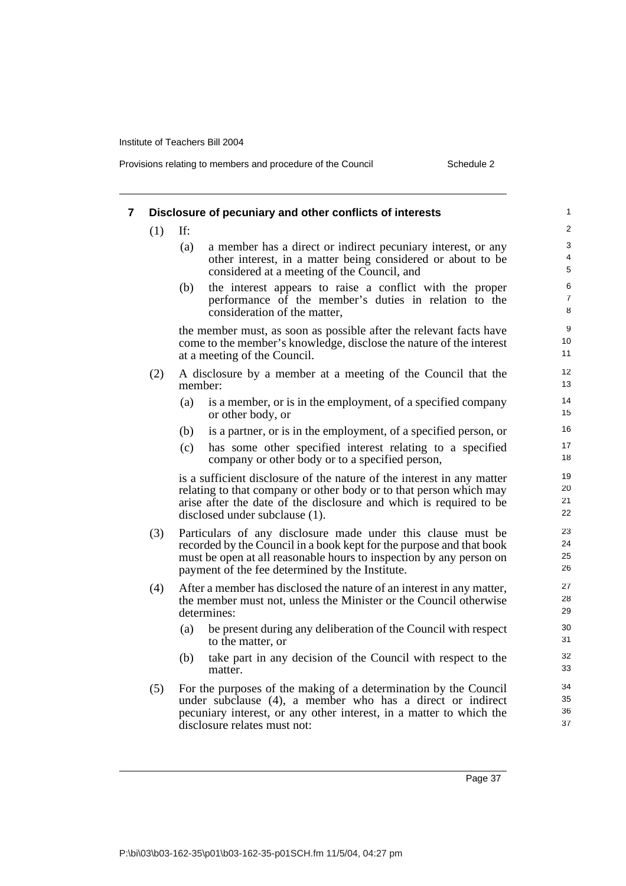Provisions relating to members and procedure of the Council Schedule 2

| 7 |     |         | Disclosure of pecuniary and other conflicts of interests                                                                                                                                                                                                       | 1                        |
|---|-----|---------|----------------------------------------------------------------------------------------------------------------------------------------------------------------------------------------------------------------------------------------------------------------|--------------------------|
|   | (1) | If:     |                                                                                                                                                                                                                                                                | $\overline{2}$           |
|   |     | (a)     | a member has a direct or indirect pecuniary interest, or any<br>other interest, in a matter being considered or about to be<br>considered at a meeting of the Council, and                                                                                     | 3<br>$\overline{4}$<br>5 |
|   |     | (b)     | the interest appears to raise a conflict with the proper<br>performance of the member's duties in relation to the<br>consideration of the matter,                                                                                                              | 6<br>$\overline{7}$<br>8 |
|   |     |         | the member must, as soon as possible after the relevant facts have<br>come to the member's knowledge, disclose the nature of the interest<br>at a meeting of the Council.                                                                                      | 9<br>10<br>11            |
|   | (2) | member: | A disclosure by a member at a meeting of the Council that the                                                                                                                                                                                                  | 12<br>13                 |
|   |     | (a)     | is a member, or is in the employment, of a specified company<br>or other body, or                                                                                                                                                                              | 14<br>15                 |
|   |     | (b)     | is a partner, or is in the employment, of a specified person, or                                                                                                                                                                                               | 16                       |
|   |     | (c)     | has some other specified interest relating to a specified<br>company or other body or to a specified person,                                                                                                                                                   | 17<br>18                 |
|   |     |         | is a sufficient disclosure of the nature of the interest in any matter<br>relating to that company or other body or to that person which may<br>arise after the date of the disclosure and which is required to be<br>disclosed under subclause (1).           | 19<br>20<br>21<br>22     |
|   | (3) |         | Particulars of any disclosure made under this clause must be<br>recorded by the Council in a book kept for the purpose and that book<br>must be open at all reasonable hours to inspection by any person on<br>payment of the fee determined by the Institute. | 23<br>24<br>25<br>26     |
|   | (4) |         | After a member has disclosed the nature of an interest in any matter,<br>the member must not, unless the Minister or the Council otherwise<br>determines:                                                                                                      | 27<br>28<br>29           |
|   |     | (a)     | be present during any deliberation of the Council with respect<br>to the matter, or                                                                                                                                                                            | 30<br>31                 |
|   |     | (b)     | take part in any decision of the Council with respect to the<br>matter.                                                                                                                                                                                        | 32<br>33                 |
|   | (5) |         | For the purposes of the making of a determination by the Council<br>under subclause (4), a member who has a direct or indirect<br>pecuniary interest, or any other interest, in a matter to which the<br>disclosure relates must not:                          | 34<br>35<br>36<br>37     |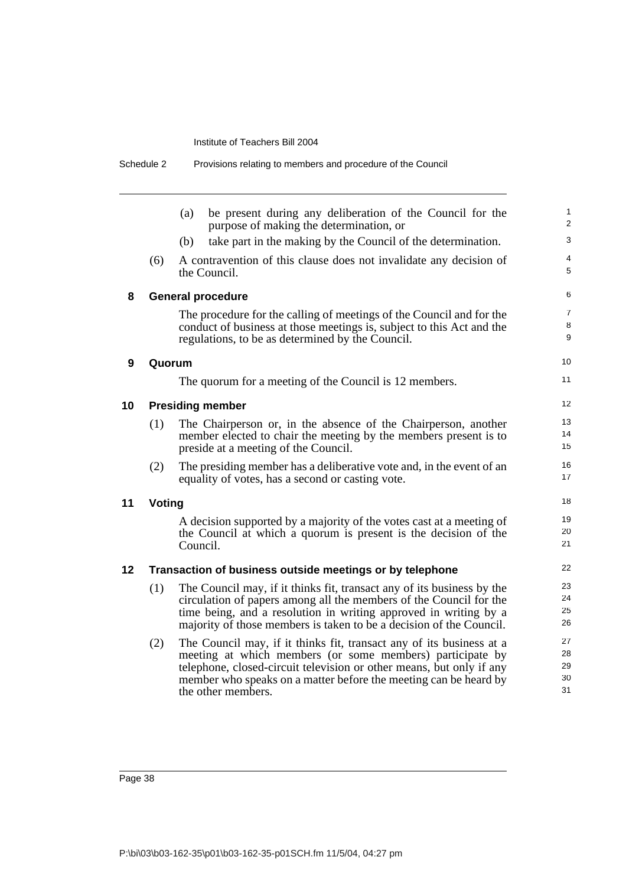|    |        | (a)<br>be present during any deliberation of the Council for the<br>purpose of making the determination, or                                                                                                                                                                                         |
|----|--------|-----------------------------------------------------------------------------------------------------------------------------------------------------------------------------------------------------------------------------------------------------------------------------------------------------|
|    |        | (b)<br>take part in the making by the Council of the determination.                                                                                                                                                                                                                                 |
|    | (6)    | A contravention of this clause does not invalidate any decision of<br>the Council.                                                                                                                                                                                                                  |
| 8  |        | <b>General procedure</b>                                                                                                                                                                                                                                                                            |
|    |        | The procedure for the calling of meetings of the Council and for the<br>conduct of business at those meetings is, subject to this Act and the<br>regulations, to be as determined by the Council.                                                                                                   |
| 9  |        | Quorum                                                                                                                                                                                                                                                                                              |
|    |        | The quorum for a meeting of the Council is 12 members.                                                                                                                                                                                                                                              |
| 10 |        | <b>Presiding member</b>                                                                                                                                                                                                                                                                             |
|    | (1)    | The Chairperson or, in the absence of the Chairperson, another<br>member elected to chair the meeting by the members present is to<br>preside at a meeting of the Council.                                                                                                                          |
|    | (2)    | The presiding member has a deliberative vote and, in the event of an<br>equality of votes, has a second or casting vote.                                                                                                                                                                            |
| 11 | Voting |                                                                                                                                                                                                                                                                                                     |
|    |        | A decision supported by a majority of the votes cast at a meeting of<br>the Council at which a quorum is present is the decision of the<br>Council.                                                                                                                                                 |
| 12 |        | Transaction of business outside meetings or by telephone                                                                                                                                                                                                                                            |
|    | (1)    | The Council may, if it thinks fit, transact any of its business by the<br>circulation of papers among all the members of the Council for the<br>time being, and a resolution in writing approved in writing by a<br>majority of those members is taken to be a decision of the Council.             |
|    | (2)    | The Council may, if it thinks fit, transact any of its business at a<br>meeting at which members (or some members) participate by<br>telephone, closed-circuit television or other means, but only if any<br>member who speaks on a matter before the meeting can be heard by<br>the other members. |

Schedule 2 Provisions relating to members and procedure of the Council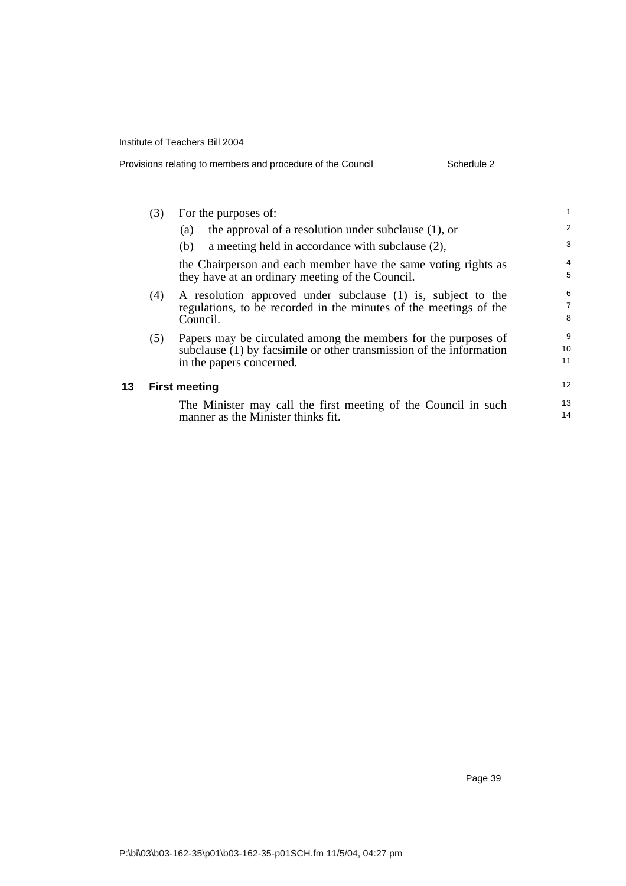|    | (3) | For the purposes of:                                                                                                                                              | 1                        |
|----|-----|-------------------------------------------------------------------------------------------------------------------------------------------------------------------|--------------------------|
|    |     | the approval of a resolution under subclause $(1)$ , or<br>(a)                                                                                                    | 2                        |
|    |     | a meeting held in accordance with subclause (2),<br>(b)                                                                                                           | 3                        |
|    |     | the Chairperson and each member have the same voting rights as<br>they have at an ordinary meeting of the Council.                                                | $\overline{4}$<br>5      |
|    | (4) | A resolution approved under subclause (1) is, subject to the<br>regulations, to be recorded in the minutes of the meetings of the<br>Council.                     | 6<br>$\overline{7}$<br>8 |
|    | (5) | Papers may be circulated among the members for the purposes of<br>subclause (1) by facsimile or other transmission of the information<br>in the papers concerned. | 9<br>10<br>11            |
| 13 |     | <b>First meeting</b>                                                                                                                                              | 12                       |
|    |     | The Minister may call the first meeting of the Council in such<br>manner as the Minister thinks fit.                                                              | 13<br>14                 |

Schedule 2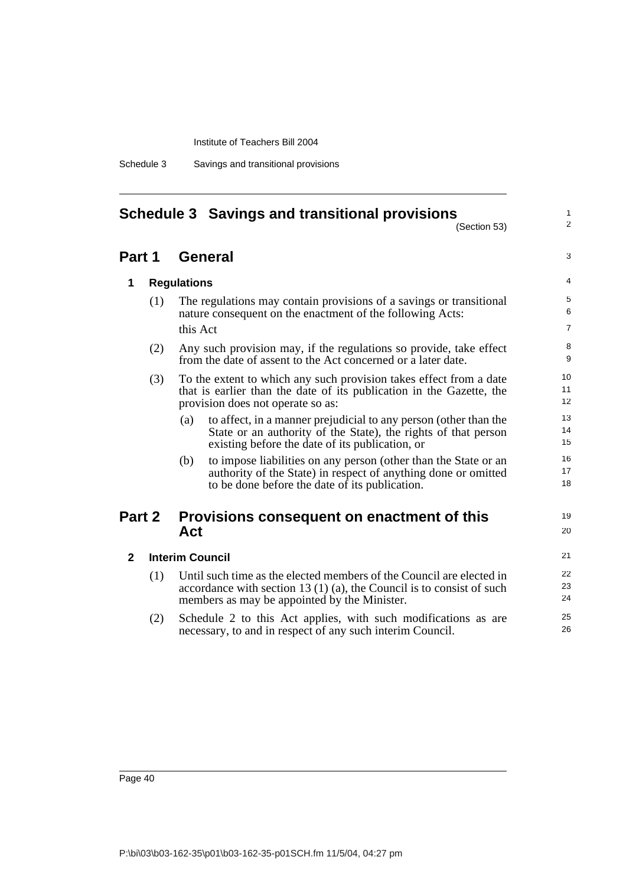Schedule 3 Savings and transitional provisions

<span id="page-51-0"></span>

| <b>Schedule 3 Savings and transitional provisions</b> |  |         |
|-------------------------------------------------------|--|---------|
|                                                       |  | 1.Secti |

#### (Section 53)

1 2

3

19 20

## **Part 1 General**

#### **1 Regulations**

- (1) The regulations may contain provisions of a savings or transitional nature consequent on the enactment of the following Acts: this Act
- (2) Any such provision may, if the regulations so provide, take effect from the date of assent to the Act concerned or a later date.
- (3) To the extent to which any such provision takes effect from a date that is earlier than the date of its publication in the Gazette, the provision does not operate so as:
	- (a) to affect, in a manner prejudicial to any person (other than the State or an authority of the State), the rights of that person existing before the date of its publication, or
	- (b) to impose liabilities on any person (other than the State or an authority of the State) in respect of anything done or omitted to be done before the date of its publication.

## **Part 2 Provisions consequent on enactment of this Act**

|     | <b>Interim Council</b>                                                                                                                                                                          | 21             |
|-----|-------------------------------------------------------------------------------------------------------------------------------------------------------------------------------------------------|----------------|
|     | Until such time as the elected members of the Council are elected in<br>accordance with section 13 $(1)$ (a), the Council is to consist of such<br>members as may be appointed by the Minister. | 22<br>23<br>24 |
| (2) | Schedule 2 to this Act applies, with such modifications as are<br>necessary, to and in respect of any such interim Council.                                                                     | 25<br>26       |